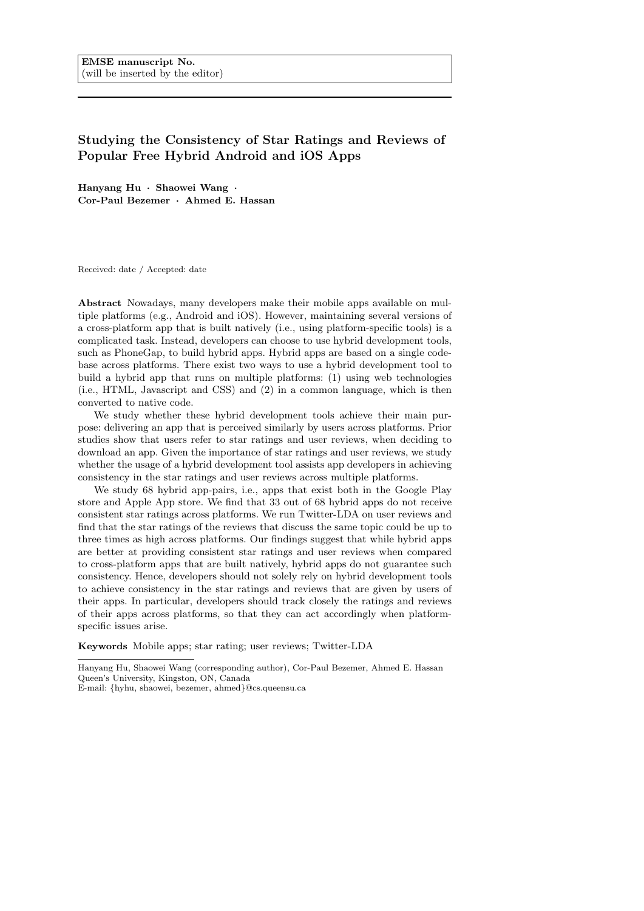# <span id="page-0-0"></span>Studying the Consistency of Star Ratings and Reviews of Popular Free Hybrid Android and iOS Apps

Hanyang Hu · Shaowei Wang · Cor-Paul Bezemer · Ahmed E. Hassan

Received: date / Accepted: date

Abstract Nowadays, many developers make their mobile apps available on multiple platforms (e.g., Android and iOS). However, maintaining several versions of a cross-platform app that is built natively (i.e., using platform-specific tools) is a complicated task. Instead, developers can choose to use hybrid development tools, such as PhoneGap, to build hybrid apps. Hybrid apps are based on a single codebase across platforms. There exist two ways to use a hybrid development tool to build a hybrid app that runs on multiple platforms: (1) using web technologies (i.e., HTML, Javascript and CSS) and (2) in a common language, which is then converted to native code.

We study whether these hybrid development tools achieve their main purpose: delivering an app that is perceived similarly by users across platforms. Prior studies show that users refer to star ratings and user reviews, when deciding to download an app. Given the importance of star ratings and user reviews, we study whether the usage of a hybrid development tool assists app developers in achieving consistency in the star ratings and user reviews across multiple platforms.

We study 68 hybrid app-pairs, i.e., apps that exist both in the Google Play store and Apple App store. We find that 33 out of 68 hybrid apps do not receive consistent star ratings across platforms. We run Twitter-LDA on user reviews and find that the star ratings of the reviews that discuss the same topic could be up to three times as high across platforms. Our findings suggest that while hybrid apps are better at providing consistent star ratings and user reviews when compared to cross-platform apps that are built natively, hybrid apps do not guarantee such consistency. Hence, developers should not solely rely on hybrid development tools to achieve consistency in the star ratings and reviews that are given by users of their apps. In particular, developers should track closely the ratings and reviews of their apps across platforms, so that they can act accordingly when platformspecific issues arise.

Keywords Mobile apps; star rating; user reviews; Twitter-LDA

Hanyang Hu, Shaowei Wang (corresponding author), Cor-Paul Bezemer, Ahmed E. Hassan Queen's University, Kingston, ON, Canada

E-mail: {hyhu, shaowei, bezemer, ahmed}@cs.queensu.ca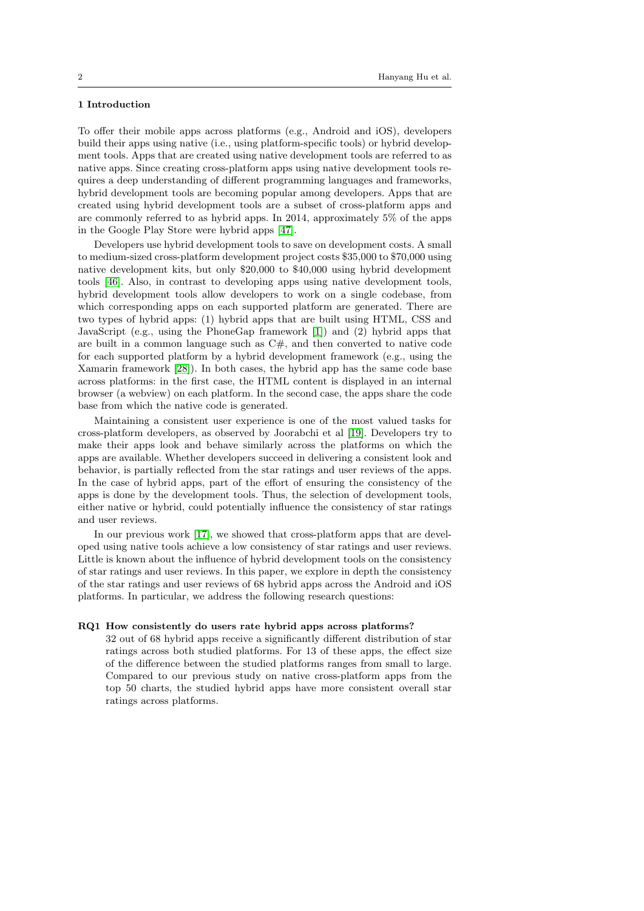# 1 Introduction

To offer their mobile apps across platforms (e.g., Android and iOS), developers build their apps using native (i.e., using platform-specific tools) or hybrid development tools. Apps that are created using native development tools are referred to as native apps. Since creating cross-platform apps using native development tools requires a deep understanding of different programming languages and frameworks, hybrid development tools are becoming popular among developers. Apps that are created using hybrid development tools are a subset of cross-platform apps and are commonly referred to as hybrid apps. In 2014, approximately 5% of the apps in the Google Play Store were hybrid apps [\[47\]](#page-22-0).

Developers use hybrid development tools to save on development costs. A small to medium-sized cross-platform development project costs \$35,000 to \$70,000 using native development kits, but only \$20,000 to \$40,000 using hybrid development tools [\[46\]](#page-22-1). Also, in contrast to developing apps using native development tools, hybrid development tools allow developers to work on a single codebase, from which corresponding apps on each supported platform are generated. There are two types of hybrid apps: (1) hybrid apps that are built using HTML, CSS and JavaScript (e.g., using the PhoneGap framework [\[1\]](#page-20-0)) and (2) hybrid apps that are built in a common language such as  $C#$ , and then converted to native code for each supported platform by a hybrid development framework (e.g., using the Xamarin framework [\[28\]](#page-21-0)). In both cases, the hybrid app has the same code base across platforms: in the first case, the HTML content is displayed in an internal browser (a webview) on each platform. In the second case, the apps share the code base from which the native code is generated.

Maintaining a consistent user experience is one of the most valued tasks for cross-platform developers, as observed by Joorabchi et al [\[19\]](#page-21-1). Developers try to make their apps look and behave similarly across the platforms on which the apps are available. Whether developers succeed in delivering a consistent look and behavior, is partially reflected from the star ratings and user reviews of the apps. In the case of hybrid apps, part of the effort of ensuring the consistency of the apps is done by the development tools. Thus, the selection of development tools, either native or hybrid, could potentially influence the consistency of star ratings and user reviews.

In our previous work [\[17\]](#page-21-2), we showed that cross-platform apps that are developed using native tools achieve a low consistency of star ratings and user reviews. Little is known about the influence of hybrid development tools on the consistency of star ratings and user reviews. In this paper, we explore in depth the consistency of the star ratings and user reviews of 68 hybrid apps across the Android and iOS platforms. In particular, we address the following research questions:

## RQ1 How consistently do users rate hybrid apps across platforms?

32 out of 68 hybrid apps receive a significantly different distribution of star ratings across both studied platforms. For 13 of these apps, the effect size of the difference between the studied platforms ranges from small to large. Compared to our previous study on native cross-platform apps from the top 50 charts, the studied hybrid apps have more consistent overall star ratings across platforms.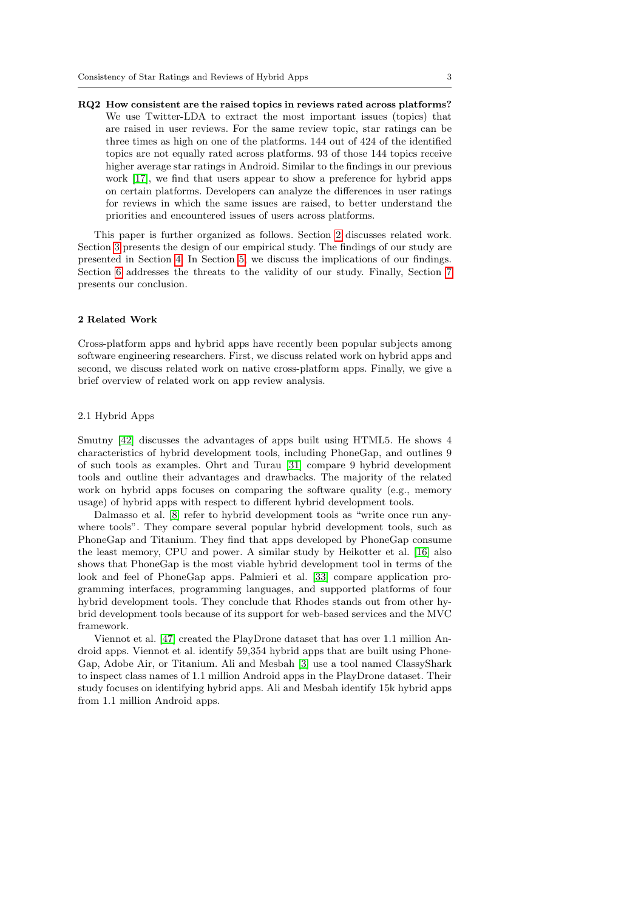RQ2 How consistent are the raised topics in reviews rated across platforms? We use Twitter-LDA to extract the most important issues (topics) that are raised in user reviews. For the same review topic, star ratings can be three times as high on one of the platforms. 144 out of 424 of the identified topics are not equally rated across platforms. 93 of those 144 topics receive higher average star ratings in Android. Similar to the findings in our previous work [\[17\]](#page-21-2), we find that users appear to show a preference for hybrid apps on certain platforms. Developers can analyze the differences in user ratings for reviews in which the same issues are raised, to better understand the priorities and encountered issues of users across platforms.

This paper is further organized as follows. Section [2](#page-2-0) discusses related work. Section [3](#page-4-0) presents the design of our empirical study. The findings of our study are presented in Section [4.](#page-6-0) In Section [5,](#page-17-0) we discuss the implications of our findings. Section [6](#page-18-0) addresses the threats to the validity of our study. Finally, Section [7](#page-19-0) presents our conclusion.

## <span id="page-2-0"></span>2 Related Work

Cross-platform apps and hybrid apps have recently been popular subjects among software engineering researchers. First, we discuss related work on hybrid apps and second, we discuss related work on native cross-platform apps. Finally, we give a brief overview of related work on app review analysis.

## 2.1 Hybrid Apps

Smutny [\[42\]](#page-22-2) discusses the advantages of apps built using HTML5. He shows 4 characteristics of hybrid development tools, including PhoneGap, and outlines 9 of such tools as examples. Ohrt and Turau [\[31\]](#page-21-3) compare 9 hybrid development tools and outline their advantages and drawbacks. The majority of the related work on hybrid apps focuses on comparing the software quality (e.g., memory usage) of hybrid apps with respect to different hybrid development tools.

Dalmasso et al. [\[8\]](#page-20-1) refer to hybrid development tools as "write once run anywhere tools". They compare several popular hybrid development tools, such as PhoneGap and Titanium. They find that apps developed by PhoneGap consume the least memory, CPU and power. A similar study by Heikotter et al. [\[16\]](#page-21-4) also shows that PhoneGap is the most viable hybrid development tool in terms of the look and feel of PhoneGap apps. Palmieri et al. [\[33\]](#page-21-5) compare application programming interfaces, programming languages, and supported platforms of four hybrid development tools. They conclude that Rhodes stands out from other hybrid development tools because of its support for web-based services and the MVC framework.

Viennot et al. [\[47\]](#page-22-0) created the PlayDrone dataset that has over 1.1 million Android apps. Viennot et al. identify 59,354 hybrid apps that are built using Phone-Gap, Adobe Air, or Titanium. Ali and Mesbah [\[3\]](#page-20-2) use a tool named ClassyShark to inspect class names of 1.1 million Android apps in the PlayDrone dataset. Their study focuses on identifying hybrid apps. Ali and Mesbah identify 15k hybrid apps from 1.1 million Android apps.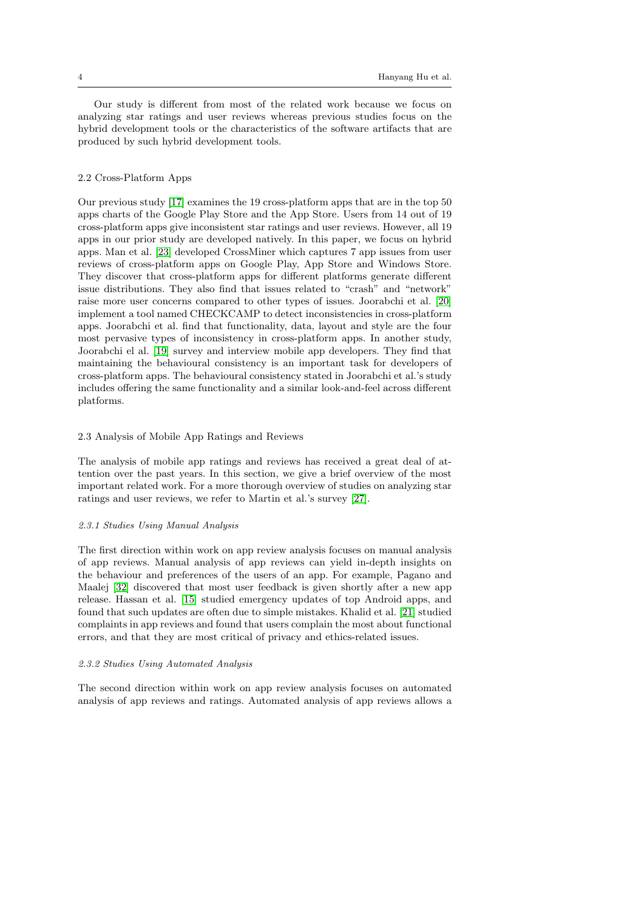Our study is different from most of the related work because we focus on analyzing star ratings and user reviews whereas previous studies focus on the hybrid development tools or the characteristics of the software artifacts that are produced by such hybrid development tools.

# 2.2 Cross-Platform Apps

Our previous study [\[17\]](#page-21-2) examines the 19 cross-platform apps that are in the top 50 apps charts of the Google Play Store and the App Store. Users from 14 out of 19 cross-platform apps give inconsistent star ratings and user reviews. However, all 19 apps in our prior study are developed natively. In this paper, we focus on hybrid apps. Man et al. [\[23\]](#page-21-6) developed CrossMiner which captures 7 app issues from user reviews of cross-platform apps on Google Play, App Store and Windows Store. They discover that cross-platform apps for different platforms generate different issue distributions. They also find that issues related to "crash" and "network" raise more user concerns compared to other types of issues. Joorabchi et al. [\[20\]](#page-21-7) implement a tool named CHECKCAMP to detect inconsistencies in cross-platform apps. Joorabchi et al. find that functionality, data, layout and style are the four most pervasive types of inconsistency in cross-platform apps. In another study, Joorabchi el al. [\[19\]](#page-21-1) survey and interview mobile app developers. They find that maintaining the behavioural consistency is an important task for developers of cross-platform apps. The behavioural consistency stated in Joorabchi et al.'s study includes offering the same functionality and a similar look-and-feel across different platforms.

## 2.3 Analysis of Mobile App Ratings and Reviews

The analysis of mobile app ratings and reviews has received a great deal of attention over the past years. In this section, we give a brief overview of the most important related work. For a more thorough overview of studies on analyzing star ratings and user reviews, we refer to Martin et al.'s survey [\[27\]](#page-21-8).

# 2.3.1 Studies Using Manual Analysis

The first direction within work on app review analysis focuses on manual analysis of app reviews. Manual analysis of app reviews can yield in-depth insights on the behaviour and preferences of the users of an app. For example, Pagano and Maalej [\[32\]](#page-21-9) discovered that most user feedback is given shortly after a new app release. Hassan et al. [\[15\]](#page-21-10) studied emergency updates of top Android apps, and found that such updates are often due to simple mistakes. Khalid et al. [\[21\]](#page-21-11) studied complaints in app reviews and found that users complain the most about functional errors, and that they are most critical of privacy and ethics-related issues.

#### 2.3.2 Studies Using Automated Analysis

The second direction within work on app review analysis focuses on automated analysis of app reviews and ratings. Automated analysis of app reviews allows a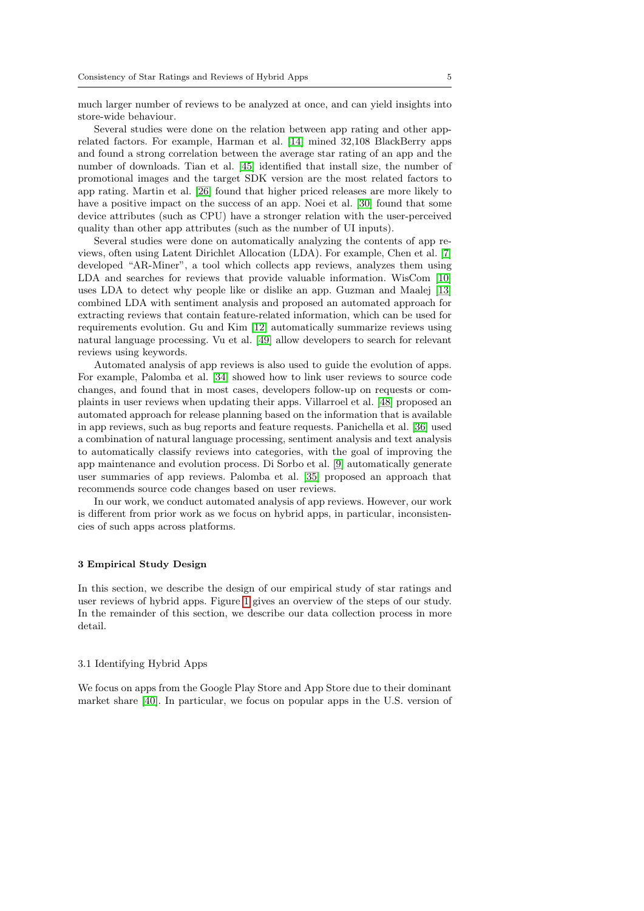much larger number of reviews to be analyzed at once, and can yield insights into store-wide behaviour.

Several studies were done on the relation between app rating and other apprelated factors. For example, Harman et al. [\[14\]](#page-21-12) mined 32,108 BlackBerry apps and found a strong correlation between the average star rating of an app and the number of downloads. Tian et al. [\[45\]](#page-22-3) identified that install size, the number of promotional images and the target SDK version are the most related factors to app rating. Martin et al. [\[26\]](#page-21-13) found that higher priced releases are more likely to have a positive impact on the success of an app. Noei et al. [\[30\]](#page-21-14) found that some device attributes (such as CPU) have a stronger relation with the user-perceived quality than other app attributes (such as the number of UI inputs).

Several studies were done on automatically analyzing the contents of app reviews, often using Latent Dirichlet Allocation (LDA). For example, Chen et al. [\[7\]](#page-20-3) developed "AR-Miner", a tool which collects app reviews, analyzes them using LDA and searches for reviews that provide valuable information. WisCom [\[10\]](#page-20-4) uses LDA to detect why people like or dislike an app. Guzman and Maalej [\[13\]](#page-21-15) combined LDA with sentiment analysis and proposed an automated approach for extracting reviews that contain feature-related information, which can be used for requirements evolution. Gu and Kim [\[12\]](#page-20-5) automatically summarize reviews using natural language processing. Vu et al. [\[49\]](#page-22-4) allow developers to search for relevant reviews using keywords.

Automated analysis of app reviews is also used to guide the evolution of apps. For example, Palomba et al. [\[34\]](#page-21-16) showed how to link user reviews to source code changes, and found that in most cases, developers follow-up on requests or complaints in user reviews when updating their apps. Villarroel et al. [\[48\]](#page-22-5) proposed an automated approach for release planning based on the information that is available in app reviews, such as bug reports and feature requests. Panichella et al. [\[36\]](#page-22-6) used a combination of natural language processing, sentiment analysis and text analysis to automatically classify reviews into categories, with the goal of improving the app maintenance and evolution process. Di Sorbo et al. [\[9\]](#page-20-6) automatically generate user summaries of app reviews. Palomba et al. [\[35\]](#page-22-7) proposed an approach that recommends source code changes based on user reviews.

In our work, we conduct automated analysis of app reviews. However, our work is different from prior work as we focus on hybrid apps, in particular, inconsistencies of such apps across platforms.

#### <span id="page-4-0"></span>3 Empirical Study Design

In this section, we describe the design of our empirical study of star ratings and user reviews of hybrid apps. Figure [1](#page-5-0) gives an overview of the steps of our study. In the remainder of this section, we describe our data collection process in more detail.

#### 3.1 Identifying Hybrid Apps

We focus on apps from the Google Play Store and App Store due to their dominant market share [\[40\]](#page-22-8). In particular, we focus on popular apps in the U.S. version of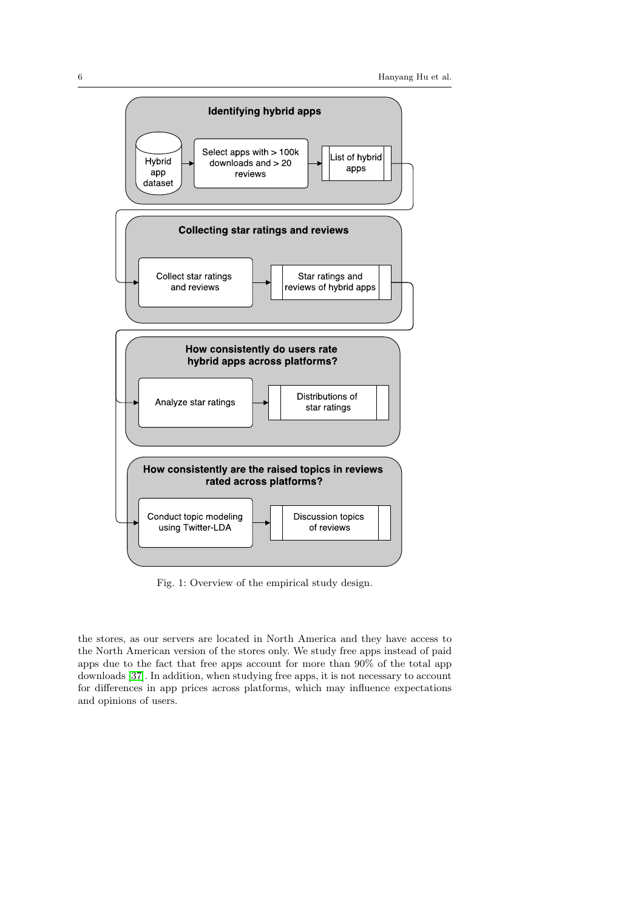<span id="page-5-0"></span>

Fig. 1: Overview of the empirical study design.

the stores, as our servers are located in North America and they have access to the North American version of the stores only. We study free apps instead of paid apps due to the fact that free apps account for more than 90% of the total app downloads [\[37\]](#page-22-9). In addition, when studying free apps, it is not necessary to account for differences in app prices across platforms, which may influence expectations and opinions of users.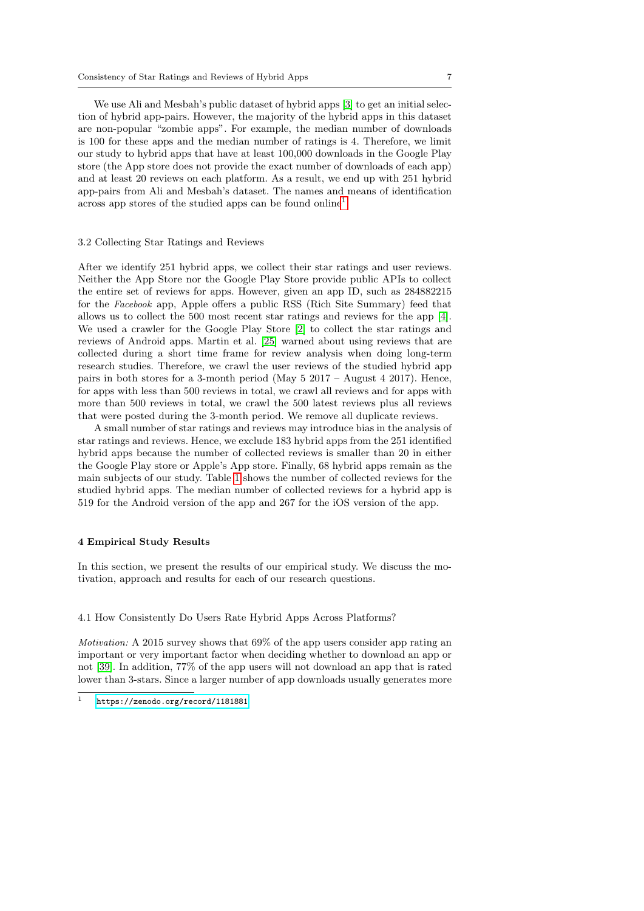We use Ali and Mesbah's public dataset of hybrid apps [\[3\]](#page-20-2) to get an initial selection of hybrid app-pairs. However, the majority of the hybrid apps in this dataset are non-popular "zombie apps". For example, the median number of downloads is 100 for these apps and the median number of ratings is 4. Therefore, we limit our study to hybrid apps that have at least 100,000 downloads in the Google Play store (the App store does not provide the exact number of downloads of each app) and at least 20 reviews on each platform. As a result, we end up with 251 hybrid app-pairs from Ali and Mesbah's dataset. The names and means of identification across app stores of the studied apps can be found online<sup>[1](#page-0-0)</sup>.

## 3.2 Collecting Star Ratings and Reviews

After we identify 251 hybrid apps, we collect their star ratings and user reviews. Neither the App Store nor the Google Play Store provide public APIs to collect the entire set of reviews for apps. However, given an app ID, such as 284882215 for the Facebook app, Apple offers a public RSS (Rich Site Summary) feed that allows us to collect the 500 most recent star ratings and reviews for the app [\[4\]](#page-20-7). We used a crawler for the Google Play Store [\[2\]](#page-20-8) to collect the star ratings and reviews of Android apps. Martin et al. [\[25\]](#page-21-17) warned about using reviews that are collected during a short time frame for review analysis when doing long-term research studies. Therefore, we crawl the user reviews of the studied hybrid app pairs in both stores for a 3-month period (May 5 2017 – August 4 2017). Hence, for apps with less than 500 reviews in total, we crawl all reviews and for apps with more than 500 reviews in total, we crawl the 500 latest reviews plus all reviews that were posted during the 3-month period. We remove all duplicate reviews.

A small number of star ratings and reviews may introduce bias in the analysis of star ratings and reviews. Hence, we exclude 183 hybrid apps from the 251 identified hybrid apps because the number of collected reviews is smaller than 20 in either the Google Play store or Apple's App store. Finally, 68 hybrid apps remain as the main subjects of our study. Table [1](#page-7-0) shows the number of collected reviews for the studied hybrid apps. The median number of collected reviews for a hybrid app is 519 for the Android version of the app and 267 for the iOS version of the app.

#### <span id="page-6-0"></span>4 Empirical Study Results

In this section, we present the results of our empirical study. We discuss the motivation, approach and results for each of our research questions.

#### <span id="page-6-1"></span>4.1 How Consistently Do Users Rate Hybrid Apps Across Platforms?

Motivation: A 2015 survey shows that 69% of the app users consider app rating an important or very important factor when deciding whether to download an app or not [\[39\]](#page-22-10). In addition, 77% of the app users will not download an app that is rated lower than 3-stars. Since a larger number of app downloads usually generates more

<sup>1</sup> <https://zenodo.org/record/1181881>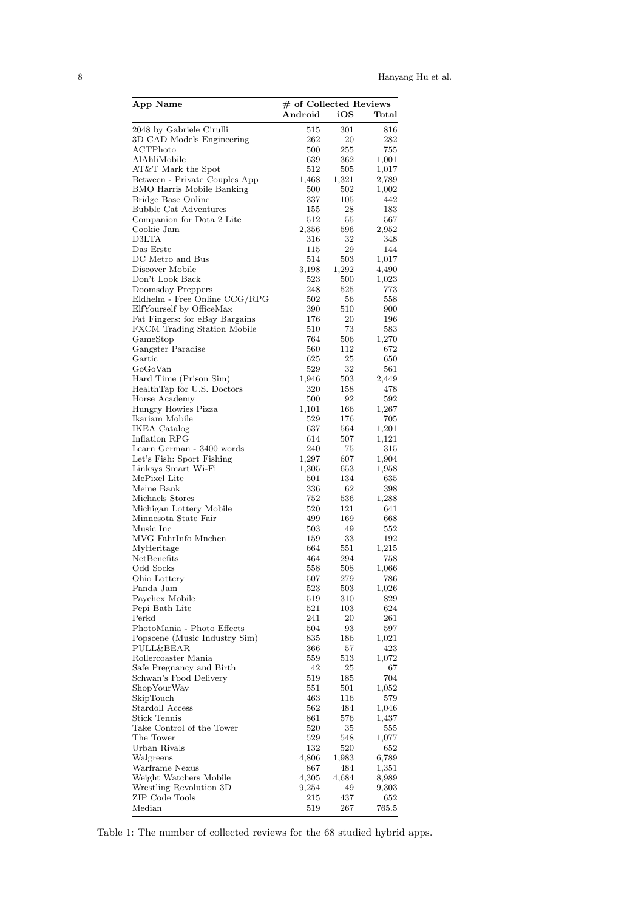<span id="page-7-0"></span>

| App Name                                                   | # of Collected Reviews<br>Android | iOS          | $\rm Total$      |
|------------------------------------------------------------|-----------------------------------|--------------|------------------|
|                                                            |                                   |              |                  |
| 2048 by Gabriele Cirulli<br>3D CAD Models Engineering      | 515<br>262                        | 301<br>20    | 816<br>282       |
| ACTPhoto                                                   | 500                               | 255          | 755              |
| AlAhliMobile                                               | 639                               | 362          | 1,001            |
| AT&T Mark the Spot                                         | 512                               | 505          | 1,017            |
| Between - Private Couples App                              | 1,468<br>500                      | 1,321<br>502 | 2,789            |
| BMO Harris Mobile Banking<br>Bridge Base Online            | 337                               | 105          | 1,002<br>442     |
| <b>Bubble Cat Adventures</b>                               | 155                               | 28           | 183              |
| Companion for Dota 2 Lite                                  | 512                               | 55           | 567              |
| Cookie Jam                                                 | 2,356                             | 596          | 2,952            |
| D3LTA<br>Das Erste                                         | 316                               | 32<br>29     | 348              |
| DC Metro and Bus                                           | 115<br>514                        | 503          | 144<br>1,017     |
| Discover Mobile                                            | 3,198                             | 1,292        | 4,490            |
| Don't Look Back                                            | 523                               | 500          | 1,023            |
| Doomsday Preppers                                          | 248                               | 525          | 773              |
| Eldhelm - Free Online CCG/RPG                              | 502                               | 56           | 558              |
| ElfYourself by OfficeMax<br>Fat Fingers: for eBay Bargains | 390<br>176                        | 510<br>20    | 900<br>196       |
| FXCM Trading Station Mobile                                | 510                               | 73           | 583              |
| GameStop                                                   | 764                               | 506          | 1,270            |
| Gangster Paradise                                          | 560                               | 112          | 672              |
| Gartic                                                     | 625                               | 25           | 650              |
| GoGoVan                                                    | 529                               | 32           | 561              |
| Hard Time (Prison Sim)<br>HealthTap for U.S. Doctors       | 1,946<br>320                      | 503<br>158   | 2,449<br>478     |
| Horse Academy                                              | 500                               | 92           | 592              |
| Hungry Howies Pizza                                        | 1,101                             | 166          | 1,267            |
| Ikariam Mobile                                             | 529                               | 176          | 705              |
| <b>IKEA</b> Catalog                                        | 637                               | 564          | 1,201            |
| Inflation RPG<br>Learn German - 3400 words                 | 614<br>240                        | 507<br>75    | 1,121<br>315     |
| Let's Fish: Sport Fishing                                  | 1,297                             | 607          | 1,904            |
| Linksys Smart Wi-Fi                                        | 1,305                             | 653          | 1,958            |
| McPixel Lite                                               | 501                               | 134          | 635              |
| Meine Bank                                                 | 336                               | 62           | 398              |
| Michaels Stores<br>Michigan Lottery Mobile                 | 752<br>520                        | 536<br>121   | 1,288<br>641     |
| Minnesota State Fair                                       | 499                               | 169          | 668              |
| Music Inc                                                  | 503                               | 49           | 552              |
| MVG FahrInfo Mnchen                                        | 159                               | 33           | 192              |
| MyHeritage                                                 | 664                               | 551          | 1,215            |
| $\operatorname{NetBenefits}$<br>Odd Socks                  | 464<br>558                        | 294<br>508   | 758              |
| Ohio Lottery                                               | 507                               | 279          | 1,066<br>786     |
| Panda Jam                                                  | 523                               | 503          | 1,026            |
| Paychex Mobile                                             | 519                               | 310          | 829              |
| Pepi Bath Lite                                             | 521                               | 103          | 624              |
| Perkd<br>PhotoMania - Photo Effects                        | 241<br>504                        | 20<br>93     | 261<br>597       |
| Popscene (Music Industry Sim)                              | 835                               | 186          | 1,021            |
| PULL&BEAR                                                  | 366                               | 57           | 423              |
| Rollercoaster Mania                                        | 559                               | 513          | 1,072            |
| Safe Pregnancy and Birth                                   | 42                                | 25           | 67               |
| Schwan's Food Delivery                                     | 519<br>551                        | 185          | 704              |
| ShopYourWay<br>SkipTouch                                   | 463                               | 501<br>116   | $1,\!052$<br>579 |
| Stardoll Access                                            | 562                               | 484          | 1,046            |
| <b>Stick Tennis</b>                                        | 861                               | 576          | 1,437            |
| Take Control of the Tower                                  | 520                               | 35           | 555              |
| The Tower                                                  | 529                               | 548          | 1,077            |
| Urban Rivals<br>Walgreens                                  | 132<br>4,806                      | 520<br>1,983 | 652<br>6,789     |
| Warframe Nexus                                             | 867                               | 484          | 1,351            |
| Weight Watchers Mobile                                     | 4,305                             | 4,684        | 8,989            |
| Wrestling Revolution 3D                                    | 9,254                             | 49           | 9,303            |
| ZIP Code Tools                                             | 215                               | 437          | 652              |
| Median                                                     | 519                               | 267          | 765.5            |

Table 1: The number of collected reviews for the 68 studied hybrid apps.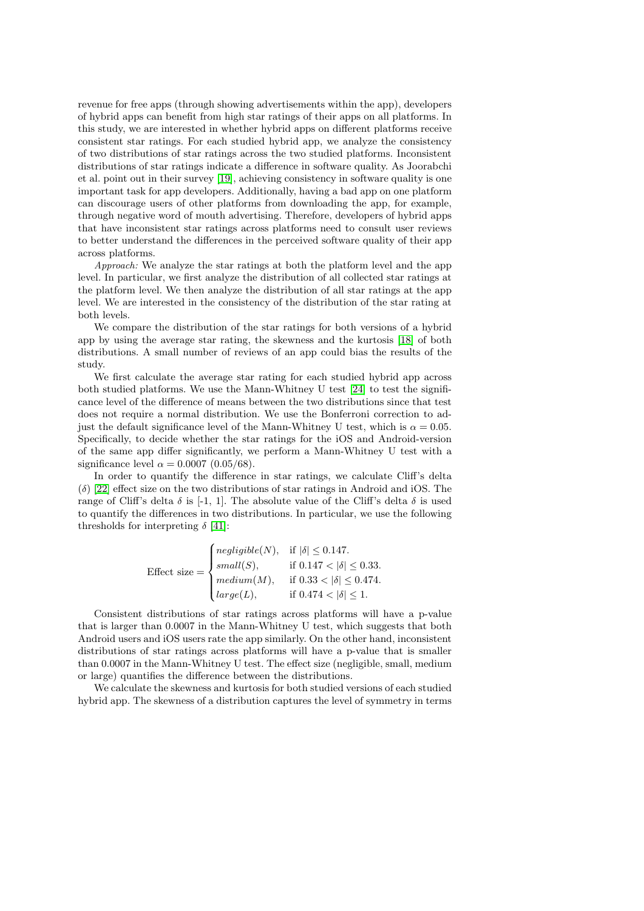revenue for free apps (through showing advertisements within the app), developers of hybrid apps can benefit from high star ratings of their apps on all platforms. In this study, we are interested in whether hybrid apps on different platforms receive consistent star ratings. For each studied hybrid app, we analyze the consistency of two distributions of star ratings across the two studied platforms. Inconsistent distributions of star ratings indicate a difference in software quality. As Joorabchi et al. point out in their survey [\[19\]](#page-21-1), achieving consistency in software quality is one important task for app developers. Additionally, having a bad app on one platform can discourage users of other platforms from downloading the app, for example, through negative word of mouth advertising. Therefore, developers of hybrid apps that have inconsistent star ratings across platforms need to consult user reviews to better understand the differences in the perceived software quality of their app across platforms.

Approach: We analyze the star ratings at both the platform level and the app level. In particular, we first analyze the distribution of all collected star ratings at the platform level. We then analyze the distribution of all star ratings at the app level. We are interested in the consistency of the distribution of the star rating at both levels.

We compare the distribution of the star ratings for both versions of a hybrid app by using the average star rating, the skewness and the kurtosis [\[18\]](#page-21-18) of both distributions. A small number of reviews of an app could bias the results of the study.

We first calculate the average star rating for each studied hybrid app across both studied platforms. We use the Mann-Whitney U test [\[24\]](#page-21-19) to test the significance level of the difference of means between the two distributions since that test does not require a normal distribution. We use the Bonferroni correction to adjust the default significance level of the Mann-Whitney U test, which is  $\alpha = 0.05$ . Specifically, to decide whether the star ratings for the iOS and Android-version of the same app differ significantly, we perform a Mann-Whitney U test with a significance level  $\alpha = 0.0007$  (0.05/68).

In order to quantify the difference in star ratings, we calculate Cliff's delta  $(\delta)$  [\[22\]](#page-21-20) effect size on the two distributions of star ratings in Android and iOS. The range of Cliff's delta  $\delta$  is [-1, 1]. The absolute value of the Cliff's delta  $\delta$  is used to quantify the differences in two distributions. In particular, we use the following thresholds for interpreting  $\delta$  [\[41\]](#page-22-11):

$$
\text{Effect size} = \begin{cases} \text{negligible}(N), & \text{if } |\delta| \le 0.147. \\ \text{small}(S), & \text{if } 0.147 < |\delta| \le 0.33. \\ \text{medium}(M), & \text{if } 0.33 < |\delta| \le 0.474. \\ \text{large}(L), & \text{if } 0.474 < |\delta| \le 1. \end{cases}
$$

Consistent distributions of star ratings across platforms will have a p-value that is larger than 0.0007 in the Mann-Whitney U test, which suggests that both Android users and iOS users rate the app similarly. On the other hand, inconsistent distributions of star ratings across platforms will have a p-value that is smaller than 0.0007 in the Mann-Whitney U test. The effect size (negligible, small, medium or large) quantifies the difference between the distributions.

We calculate the skewness and kurtosis for both studied versions of each studied hybrid app. The skewness of a distribution captures the level of symmetry in terms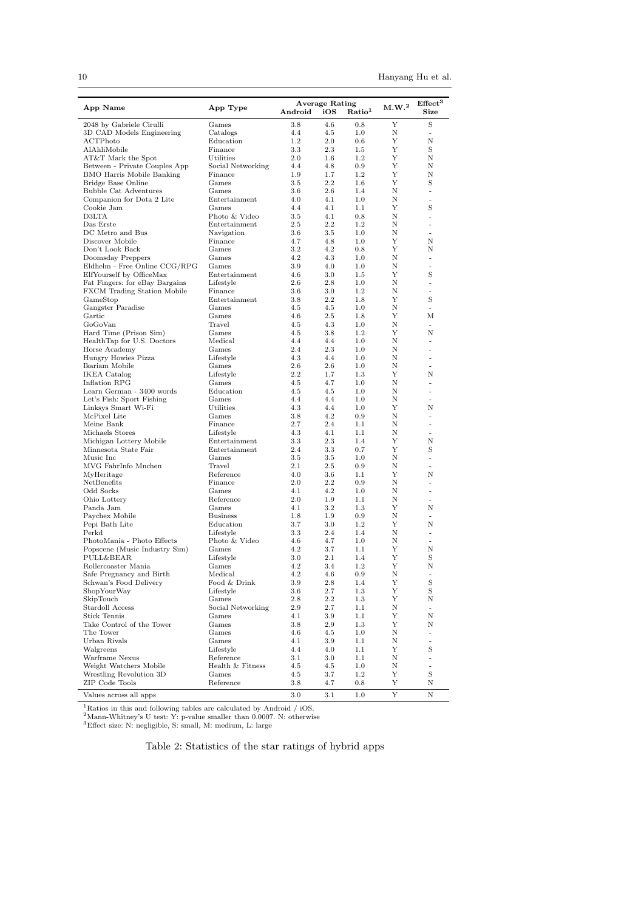10 Hanyang Hu et al.

<span id="page-9-0"></span>

| App Name                                  | App Type                    |                     | Average Rating |                    | $M.W.^2$ Effect <sup>3</sup> |                                  |
|-------------------------------------------|-----------------------------|---------------------|----------------|--------------------|------------------------------|----------------------------------|
|                                           |                             | Android             | iOS            | Ratio <sup>1</sup> |                              | Size                             |
| 2048 by Gabriele Cirulli                  | Games                       | 3.8                 | 4.6            | 0.8                | Υ                            | S                                |
| 3D CAD Models Engineering                 | Catalogs                    | 4.4                 | 4.5            | 1.0                | Ν<br>Υ                       | ۰<br>Ν                           |
| ACTPhoto<br>AlAhliMobile                  | Education<br>Finance        | 1.2<br>3.3          | $2.0\,$<br>2.3 | 0.6<br>$1.5\,$     | Y                            | S                                |
| AT&T Mark the Spot                        | Utilities                   | $2.0\,$             | $1.6\,$        | $1.2\,$            | Υ                            | Ν                                |
| Between - Private Couples App             | Social Networking           | 4.4                 | 4.8            | 0.9                | Y                            | Ν                                |
| <b>BMO Harris Mobile Banking</b>          | Finance                     | 1.9                 | 1.7            | $1.2\,$            | Y                            | Ν                                |
| Bridge Base Online                        | Games                       | 3.5                 | $2.2\,$        | $1.6\,$            | Υ                            | S                                |
| <b>Bubble Cat Adventures</b>              | Games                       | 3.6                 | $2.6\,$        | 1.4                | Ν                            | $\sim$                           |
| Companion for Dota 2 Lite                 | Entertainment               | 4.0                 | 4.1            | 1.0                | N                            | ÷,                               |
| Cookie Jam                                | Games                       | 4.4                 | 4.1            | $1.1\,$            | Y                            | S                                |
| D3LTA                                     | Photo & Video               | $3.5\,$             | 4.1            | 0.8                | N                            | ÷,                               |
| Das Erste<br>DC Metro and Bus             | Entertainment<br>Navigation | 2.5<br>3.6          | $2.2\,$<br>3.5 | $1.2\,$<br>1.0     | N<br>N                       | $\overline{\phantom{0}}$         |
| Discover Mobile                           | Finance                     | 4.7                 | 4.8            | 1.0                | Υ                            | Ν                                |
| Don't Look Back                           | Games                       | $3.2\,$             | 4.2            | 0.8                | Y                            | Ν                                |
| Doomsday Preppers                         | Games                       | 4.2                 | 4.3            | 1.0                | N                            | $\overline{a}$                   |
| Eldhelm - Free Online CCG/RPG             | Games                       | 3.9                 | 4.0            | 1.0                | N                            | ٠                                |
| ElfYourself by OfficeMax                  | Entertainment               | 4.6                 | $3.0\,$        | $1.5\,$            | Υ                            | S                                |
| Fat Fingers: for eBay Bargains            | Lifestyle                   | 2.6                 | 2.8            | 1.0                | Ν                            | ٠                                |
| <b>FXCM</b> Trading Station Mobile        | Finance                     | 3.6                 | 3.0            | 1.2                | N                            | $\frac{1}{2}$                    |
| GameStop                                  | Entertainment               | 3.8                 | $2.2\,$        | 1.8                | Y                            | S                                |
| Gangster Paradise                         | Games                       | 4.5                 | 4.5            | 1.0                | N                            | $\sim$                           |
| Gartic                                    | Games                       | 4.6                 | $2.5\,$        | 1.8                | Υ<br>N                       | М<br>$\sim$                      |
| GoGoVan<br>Hard Time (Prison Sim)         | Travel<br>Games             | 4.5<br>4.5          | 4.3<br>3.8     | 1.0<br>$1.2\,$     | Υ                            | Ν                                |
| HealthTap for U.S. Doctors                | Medical                     | 4.4                 | 4.4            | 1.0                | Ν                            | ٠                                |
| Horse Academy                             | Games                       | 2.4                 | 2.3            | 1.0                | N                            | $\overline{a}$                   |
| Hungry Howies Pizza                       | Lifestyle                   | 4.3                 | 4.4            | 1.0                | N                            | $\overline{\phantom{0}}$         |
| Ikariam Mobile                            | Games                       | $2.6\,$             | 2.6            | 1.0                | N                            | ÷,                               |
| <b>IKEA</b> Catalog                       | Lifestyle                   | $2.2\,$             | 1.7            | $1.3\,$            | Υ                            | Ν                                |
| Inflation RPG                             | Games                       | 4.5                 | 4.7            | 1.0                | N                            | ٠                                |
| Learn German - 3400 words                 | Education                   | 4.5                 | 4.5            | 1.0                | Ν                            | ä,                               |
| Let's Fish: Sport Fishing                 | Games                       | 4.4                 | 4.4            | 1.0                | Ν                            | ٠                                |
| Linksys Smart Wi-Fi<br>McPixel Lite       | Utilities<br>Games          | 4.3<br>$3.8\,$      | 4.4<br>4.2     | 1.0<br>0.9         | Y<br>N                       | Ν<br>$\overline{\phantom{0}}$    |
| Meine Bank                                | Finance                     | 2.7                 | 2.4            | 1.1                | N                            | L.                               |
| Michaels Stores                           | Lifestyle                   | 4.3                 | 4.1            | 1.1                | N                            | $\overline{a}$                   |
| Michigan Lottery Mobile                   | Entertainment               | $3.3\,$             | 2.3            | 1.4                | Y                            | Ν                                |
| Minnesota State Fair                      | Entertainment               | 2.4                 | $3.3\,$        | 0.7                | Υ                            | S                                |
| Music Inc                                 | Games                       | 3.5                 | $3.5\,$        | 1.0                | Ν                            | ÷.                               |
| MVG FahrInfo Mnchen                       | Travel                      | 2.1                 | $2.5\,$        | 0.9                | Ν                            | ä,                               |
| MyHeritage                                | Reference                   | 4.0                 | $3.6\,$        | 1.1                | Y                            | Ν                                |
| NetBenefits                               | Finance                     | $2.0\,$             | $2.2\,$        | 0.9                | Ν                            | $\overline{a}$                   |
| Odd Socks                                 | Games<br>Reference          | 4.1<br>$2.0\,$      | 4.2<br>1.9     | 1.0<br>1.1         | N<br>N                       | $\overline{a}$<br>$\overline{a}$ |
| Ohio Lottery<br>Panda Jam                 | Games                       | 4.1                 | $3.2\,$        | $1.3\,$            | Υ                            | Ν                                |
| Paychex Mobile                            | <b>Business</b>             | 1.8                 | 1.9            | 0.9                | N                            | ٠                                |
| Pepi Bath Lite                            | Education                   | 3.7                 | $3.0\,$        | $1.2\,$            | Υ                            | Ν                                |
| Perkd                                     | Lifestyle                   | $3.3\,$             | 2.4            | 1.4                | N                            | $\overline{\phantom{a}}$         |
| PhotoMania - Photo Effects                | Photo & Video               | 4.6                 | 4.7            | $1.0\,$            | Ν                            |                                  |
| Popscene (Music Industry Sim)             | Games                       | 4.2                 | 3.7            | 1.1                | Υ                            | Ν                                |
| PULL&BEAR                                 | Lifestyle                   | $3.0\,$             | $2.1\,$        | 1.4                | Υ                            | S                                |
| Rollercoaster Mania                       | Games                       | 4.2                 | 3.4            | 1.2                | Υ                            | Ν                                |
| Safe Pregnancy and Birth                  | Medical                     | 4.2                 | 4.0            | $_{0.9}$           | Ν                            | ۰<br>$\rm S$                     |
| Schwan's Food Delivery<br>ShopYourWay     | Food & Drink<br>Lifestyle   | 3.9<br>$_{\rm 3.6}$ | $2.8\,$<br>2.7 | 1.4<br>$1.3\,$     | Υ<br>Υ                       | S                                |
| SkipTouch                                 | Games                       | 2.8                 | 2.2            | $1.3\,$            | Y                            | Ν                                |
| Stardoll Access                           | Social Networking           | 2.9                 | 2.7            | 1.1                | Ν                            | $\overline{\phantom{a}}$         |
| <b>Stick Tennis</b>                       | Games                       | 4.1                 | 3.9            | 1.1                | Υ                            | Ν                                |
| Take Control of the Tower                 | Games                       | 3.8                 | 2.9            | $1.3\,$            | Υ                            | Ν                                |
| The Tower                                 | Games                       | 4.6                 | 4.5            | $1.0\,$            | Ν                            | $\overline{\phantom{a}}$         |
| Urban Rivals                              | Games                       | 4.1                 | 3.9            | 1.1                | N                            | $\frac{1}{2}$                    |
| Walgreens                                 | Lifestyle                   | 4.4                 | 4.0            | $1.1\,$            | Υ                            | S                                |
| Warframe Nexus                            | Reference                   | 3.1                 | 3.0            | 1.1                | Ν                            | $\overline{\phantom{0}}$         |
| Weight Watchers Mobile                    | Health & Fitness            | 4.5                 | 4.5            | $1.0\,$            | Ν                            | $\frac{1}{2}$                    |
| Wrestling Revolution 3D<br>ZIP Code Tools | Games<br>Reference          | 4.5<br>3.8          | 3.7            | $1.2\,$            | Υ<br>Υ                       | $\mathbf S$<br>Ν                 |
|                                           |                             |                     | 4.7            | 0.8                |                              |                                  |
| Values across all apps                    |                             | 3.0                 | 3.1            | 1.0                | Y                            | Ν                                |

<sup>1</sup>Ratios in this and following tables are calculated by Android / iOS.<br><sup>2</sup>Mann-Whitney's U test: Y: p-value smaller than 0.0007. N: otherwise<br><sup>3</sup>Effect size: N: negligible, S: small, M: medium, L: large

Table 2: Statistics of the star ratings of hybrid apps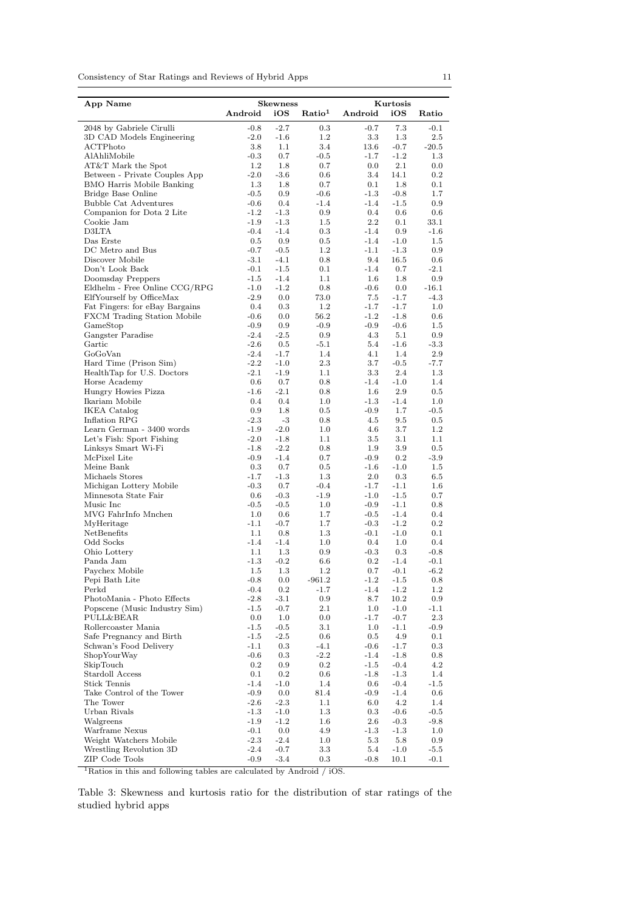Consistency of Star Ratings and Reviews of Hybrid Apps 11

<span id="page-10-0"></span>

| App Name                                                                            |                   | <b>Skewness</b>    |                    |                  | Kurtosis         |                |
|-------------------------------------------------------------------------------------|-------------------|--------------------|--------------------|------------------|------------------|----------------|
|                                                                                     | Android           | iOS                | Ratio <sup>1</sup> | Android          | iOS              | Ratio          |
|                                                                                     |                   |                    |                    |                  |                  |                |
| 2048 by Gabriele Cirulli<br>3D CAD Models Engineering                               | $-0.8$<br>$-2.0$  | $-2.7$<br>$-1.6$   | 0.3<br>1.2         | $-0.7$<br>3.3    | 7.3<br>1.3       | $-0.1$<br>2.5  |
| ACTPhoto                                                                            | 3.8               | 1.1                | 3.4                | 13.6             | $-0.7$           | $-20.5$        |
| AlAhliMobile                                                                        | $-0.3$            | 0.7                | $-0.5$             | $-1.7$           | $-1.2$           | 1.3            |
| AT&T Mark the Spot                                                                  | $1.2\,$           | 1.8                | 0.7                | 0.0              | 2.1              | 0.0            |
| Between - Private Couples App                                                       | $-2.0$            | $-3.6$             | 0.6                | 3.4              | 14.1             | 0.2            |
| <b>BMO Harris Mobile Banking</b>                                                    | 1.3               | 1.8                | 0.7                | 0.1              | 1.8              | 0.1            |
| Bridge Base Online                                                                  | $-0.5$            | 0.9                | $-0.6$             | $-1.3$           | $-0.8$           | 1.7            |
| <b>Bubble Cat Adventures</b>                                                        | $-0.6$            | 0.4                | $-1.4$             | $-1.4$           | $-1.5$           | 0.9            |
| Companion for Dota 2 Lite                                                           | $-1.2$            | $-1.3$             | 0.9                | 0.4              | 0.6              | 0.6            |
| Cookie Jam                                                                          | $-1.9$            | $-1.3$             | 1.5                | $2.2\,$          | 0.1              | 33.1           |
| D3LTA<br>Das Erste                                                                  | $-0.4$            | $-1.4$             | 0.3                | $-1.4$<br>$-1.4$ | 0.9              | $-1.6$         |
| DC Metro and Bus                                                                    | 0.5<br>$-0.7$     | 0.9<br>$-0.5$      | 0.5<br>1.2         | $-1.1$           | $-1.0$<br>$-1.3$ | 1.5<br>0.9     |
| Discover Mobile                                                                     | $-3.1$            | $-4.1$             | 0.8                | 9.4              | 16.5             | 0.6            |
| Don't Look Back                                                                     | $-0.1$            | $-1.5$             | 0.1                | $-1.4$           | 0.7              | $-2.1$         |
| Doomsday Preppers                                                                   | $-1.5$            | $-1.4$             | 1.1                | 1.6              | 1.8              | 0.9            |
| Eldhelm - Free Online CCG/RPG                                                       | $-1.0$            | $-1.2$             | 0.8                | $-0.6$           | 0.0              | $-16.1$        |
| ElfYourself by OfficeMax                                                            | $-2.9$            | 0.0                | 73.0               | 7.5              | $-1.7$           | $-4.3$         |
| Fat Fingers: for eBay Bargains                                                      | 0.4               | 0.3                | 1.2                | $-1.7$           | $-1.7$           | 1.0            |
| <b>FXCM</b> Trading Station Mobile                                                  | $-0.6$            | 0.0                | 56.2               | $-1.2$           | $-1.8$           | 0.6            |
| GameStop                                                                            | $-0.9$            | 0.9                | $-0.9$             | $-0.9$           | $-0.6$           | 1.5            |
| Gangster Paradise                                                                   | $-2.4$            | $-2.5$             | 0.9                | 4.3              | 5.1              | 0.9            |
| Gartic                                                                              | $-2.6$            | $0.5\,$            | $-5.1$             | 5.4              | $-1.6$           | $-3.3$         |
| GoGoVan                                                                             | $-2.4$            | $-1.7$             | 1.4                | 4.1              | 1.4              | 2.9            |
| Hard Time (Prison Sim)                                                              | $-2.2$            | $-1.0$             | 2.3                | 3.7              | $-0.5$           | $-7.7$         |
| HealthTap for U.S. Doctors<br>Horse Academy                                         | $-2.1$<br>0.6     | $-1.9$<br>0.7      | 1.1<br>0.8         | 3.3<br>$-1.4$    | 2.4<br>$-1.0$    | 1.3<br>1.4     |
| Hungry Howies Pizza                                                                 | $-1.6$            | $-2.1$             | 0.8                | $1.6\,$          | 2.9              | 0.5            |
| Ikariam Mobile                                                                      | 0.4               | 0.4                | 1.0                | $-1.3$           | $-1.4$           | 1.0            |
| <b>IKEA</b> Catalog                                                                 | 0.9               | 1.8                | 0.5                | $-0.9$           | 1.7              | $-0.5$         |
| Inflation RPG                                                                       | $-2.3$            | -3                 | 0.8                | 4.5              | 9.5              | 0.5            |
| Learn German - 3400 words                                                           | $-1.9$            | $-2.0$             | $1.0\,$            | 4.6              | 3.7              | 1.2            |
| Let's Fish: Sport Fishing                                                           | $-2.0$            | $-1.8$             | 1.1                | $3.5\,$          | 3.1              | 1.1            |
| Linksys Smart Wi-Fi                                                                 | $-1.8$            | $-2.2$             | 0.8                | 1.9              | 3.9              | 0.5            |
| McPixel Lite                                                                        | $-0.9$            | $-1.4$             | 0.7                | $-0.9$           | $0.2\,$          | $-3.9$         |
| Meine Bank                                                                          | 0.3               | 0.7                | $0.5\,$            | $-1.6$           | $-1.0$           | 1.5            |
| Michaels Stores                                                                     | $-1.7$            | $-1.3$             | 1.3                | $2.0\,$          | 0.3              | 6.5            |
| Michigan Lottery Mobile                                                             | $-0.3$            | 0.7                | $-0.4$             | $-1.7$           | $-1.1$           | $1.6\,$        |
| Minnesota State Fair                                                                | 0.6               | $-0.3$             | $-1.9$             | $-1.0$           | $-1.5$           | 0.7            |
| Music Inc<br>MVG FahrInfo Mnchen                                                    | $-0.5$<br>1.0     | $-0.5$<br>0.6      | 1.0<br>1.7         | $-0.9$<br>$-0.5$ | $-1.1$<br>$-1.4$ | 0.8<br>$0.4\,$ |
| MyHeritage                                                                          | $-1.1$            | $-0.7$             | 1.7                | $-0.3$           | $-1.2$           | 0.2            |
| <b>NetBenefits</b>                                                                  | 1.1               | 0.8                | 1.3                | $-0.1$           | $-1.0$           | 0.1            |
| Odd Socks                                                                           | $-1.4$            | $-1.4$             | 1.0                | 0.4              | 1.0              | 0.4            |
| Ohio Lottery                                                                        | 1.1               | 1.3                | 0.9                | $-0.3$           | 0.3              | $-0.8$         |
| Panda Jam                                                                           | $-1.3$            | $-0.2$             | 6.6                | $0.2\,$          | $-1.4$           | $-0.1$         |
| Paychex Mobile                                                                      | $1.5\,$           | 1.3                | 1.2                | 0.7              | $-0.1$           | $-6.2$         |
| Pepi Bath Lite                                                                      | $-0.8$            | 0.0                | $-961.2$           | $-1.2$           | $-1.5$           | $_{0.8}$       |
| Perkd                                                                               | $-0.4$            | $0.2\,$            | $-1.7$             | $-1.4$           | $-1.2$           | 1.2            |
| PhotoMania - Photo Effects                                                          | $-2.8$            | -3.1               | 0.9                | 8.7              | 10.2             | 0.9            |
| Popscene (Music Industry Sim)                                                       | $-1.5$            | $-0.7$             | $2.1\,$            | 1.0              | $-1.0$           | $-1.1$         |
| PULL&BEAR                                                                           | 0.0               | $1.0\,$            | 0.0                | $-1.7$           | $-0.7$           | 2.3            |
| Rollercoaster Mania                                                                 | $-1.5$            | $-0.5$             | $3.1\,$            | 1.0              | $-1.1$           | $-0.9$         |
| Safe Pregnancy and Birth                                                            | $-1.5$            | $\textbf{-2.5}$    | $0.6\,$            | $0.5\,$          | 4.9              | 0.1            |
| Schwan's Food Delivery<br>ShopYourWay                                               | $-1.1$            | $0.3\,$            | $-4.1$             | $-0.6$           | $-1.7$           | 0.3            |
| SkipTouch                                                                           | $-0.6$<br>$0.2\,$ | $0.3\,$<br>$0.9\,$ | $-2.2$<br>$0.2\,$  | $-1.4$<br>$-1.5$ | $-1.8$<br>$-0.4$ | 0.8<br>4.2     |
| Stardoll Access                                                                     | 0.1               | $0.2\,$            | $0.6\,$            | $-1.8$           | $-1.3$           | 1.4            |
| <b>Stick Tennis</b>                                                                 | $-1.4$            | $-1.0$             | 1.4                | $0.6\,$          | $-0.4$           | $-1.5$         |
| Take Control of the Tower                                                           | $-0.9$            | 0.0                | 81.4               | $-0.9$           | $-1.4$           | 0.6            |
| The Tower                                                                           | $-2.6$            | $-2.3$             | 1.1                | 6.0              | 4.2              | 1.4            |
| Urban Rivals                                                                        | $-1.3$            | $-1.0$             | 1.3                | 0.3              | $-0.6$           | $-0.5$         |
| Walgreens                                                                           | $-1.9$            | $-1.2$             | $1.6\,$            | 2.6              | $-0.3$           | $-9.8$         |
| Warframe Nexus                                                                      | $-0.1$            | 0.0                | 4.9                | $-1.3$           | $-1.3$           | 1.0            |
| Weight Watchers Mobile                                                              | $-2.3$            | $-2.4$             | 1.0                | 5.3              | 5.8              | 0.9            |
| Wrestling Revolution 3D                                                             | $-2.4$            | $-0.7$             | $3.3\,$            | 5.4              | $-1.0$           | $-5.5$         |
| ZIP Code Tools                                                                      | $-0.9$            | $-3.4$             | $0.3\,$            | $-0.8$           | 10.1             | $-0.1$         |
| <sup>1</sup> Ratios in this and following tables are calculated by Android $/$ iOS. |                   |                    |                    |                  |                  |                |

Table 3: Skewness and kurtosis ratio for the distribution of star ratings of the studied hybrid apps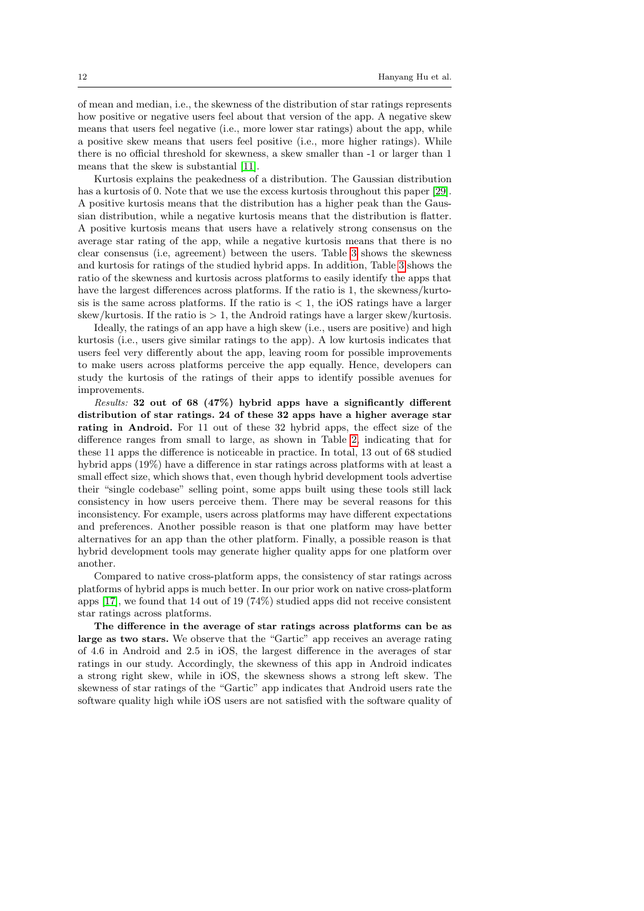of mean and median, i.e., the skewness of the distribution of star ratings represents how positive or negative users feel about that version of the app. A negative skew means that users feel negative (i.e., more lower star ratings) about the app, while a positive skew means that users feel positive (i.e., more higher ratings). While there is no official threshold for skewness, a skew smaller than -1 or larger than 1 means that the skew is substantial [\[11\]](#page-20-9).

Kurtosis explains the peakedness of a distribution. The Gaussian distribution has a kurtosis of 0. Note that we use the excess kurtosis throughout this paper [\[29\]](#page-21-21). A positive kurtosis means that the distribution has a higher peak than the Gaussian distribution, while a negative kurtosis means that the distribution is flatter. A positive kurtosis means that users have a relatively strong consensus on the average star rating of the app, while a negative kurtosis means that there is no clear consensus (i.e, agreement) between the users. Table [3](#page-10-0) shows the skewness and kurtosis for ratings of the studied hybrid apps. In addition, Table [3](#page-10-0) shows the ratio of the skewness and kurtosis across platforms to easily identify the apps that have the largest differences across platforms. If the ratio is 1, the skewness/kurtosis is the same across platforms. If the ratio is  $< 1$ , the iOS ratings have a larger skew/kurtosis. If the ratio is  $> 1$ , the Android ratings have a larger skew/kurtosis.

Ideally, the ratings of an app have a high skew (i.e., users are positive) and high kurtosis (i.e., users give similar ratings to the app). A low kurtosis indicates that users feel very differently about the app, leaving room for possible improvements to make users across platforms perceive the app equally. Hence, developers can study the kurtosis of the ratings of their apps to identify possible avenues for improvements.

Results: 32 out of 68 (47%) hybrid apps have a significantly different distribution of star ratings. 24 of these 32 apps have a higher average star rating in Android. For 11 out of these 32 hybrid apps, the effect size of the difference ranges from small to large, as shown in Table [2,](#page-9-0) indicating that for these 11 apps the difference is noticeable in practice. In total, 13 out of 68 studied hybrid apps (19%) have a difference in star ratings across platforms with at least a small effect size, which shows that, even though hybrid development tools advertise their "single codebase" selling point, some apps built using these tools still lack consistency in how users perceive them. There may be several reasons for this inconsistency. For example, users across platforms may have different expectations and preferences. Another possible reason is that one platform may have better alternatives for an app than the other platform. Finally, a possible reason is that hybrid development tools may generate higher quality apps for one platform over another.

Compared to native cross-platform apps, the consistency of star ratings across platforms of hybrid apps is much better. In our prior work on native cross-platform apps [\[17\]](#page-21-2), we found that 14 out of 19 (74%) studied apps did not receive consistent star ratings across platforms.

The difference in the average of star ratings across platforms can be as large as two stars. We observe that the "Gartic" app receives an average rating of 4.6 in Android and 2.5 in iOS, the largest difference in the averages of star ratings in our study. Accordingly, the skewness of this app in Android indicates a strong right skew, while in iOS, the skewness shows a strong left skew. The skewness of star ratings of the "Gartic" app indicates that Android users rate the software quality high while iOS users are not satisfied with the software quality of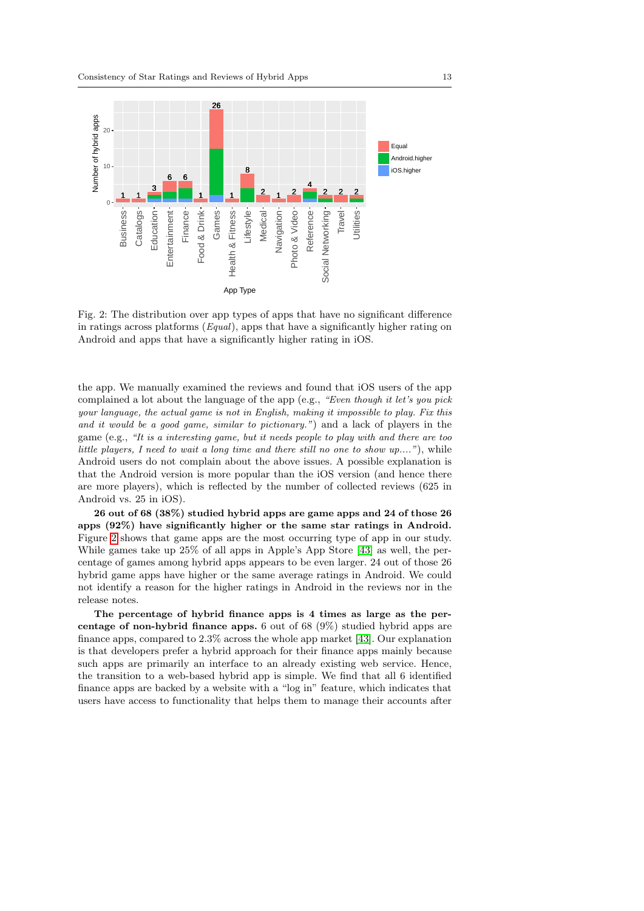<span id="page-12-0"></span>

Fig. 2: The distribution over app types of apps that have no significant difference in ratings across platforms (Equal), apps that have a significantly higher rating on Android and apps that have a significantly higher rating in iOS.

the app. We manually examined the reviews and found that iOS users of the app complained a lot about the language of the app (e.g., "Even though it let's you pick your language, the actual game is not in English, making it impossible to play. Fix this and it would be a good game, similar to pictionary.") and a lack of players in the game (e.g., "It is a interesting game, but it needs people to play with and there are too little players, I need to wait a long time and there still no one to show  $up...$ "), while Android users do not complain about the above issues. A possible explanation is that the Android version is more popular than the iOS version (and hence there are more players), which is reflected by the number of collected reviews (625 in Android vs. 25 in iOS).

26 out of 68 (38%) studied hybrid apps are game apps and 24 of those 26 apps (92%) have significantly higher or the same star ratings in Android. Figure [2](#page-12-0) shows that game apps are the most occurring type of app in our study. While games take up 25% of all apps in Apple's App Store [\[43\]](#page-22-12) as well, the percentage of games among hybrid apps appears to be even larger. 24 out of those 26 hybrid game apps have higher or the same average ratings in Android. We could not identify a reason for the higher ratings in Android in the reviews nor in the release notes.

The percentage of hybrid finance apps is 4 times as large as the percentage of non-hybrid finance apps. 6 out of 68 (9%) studied hybrid apps are finance apps, compared to 2.3% across the whole app market [\[43\]](#page-22-12). Our explanation is that developers prefer a hybrid approach for their finance apps mainly because such apps are primarily an interface to an already existing web service. Hence, the transition to a web-based hybrid app is simple. We find that all 6 identified finance apps are backed by a website with a "log in" feature, which indicates that users have access to functionality that helps them to manage their accounts after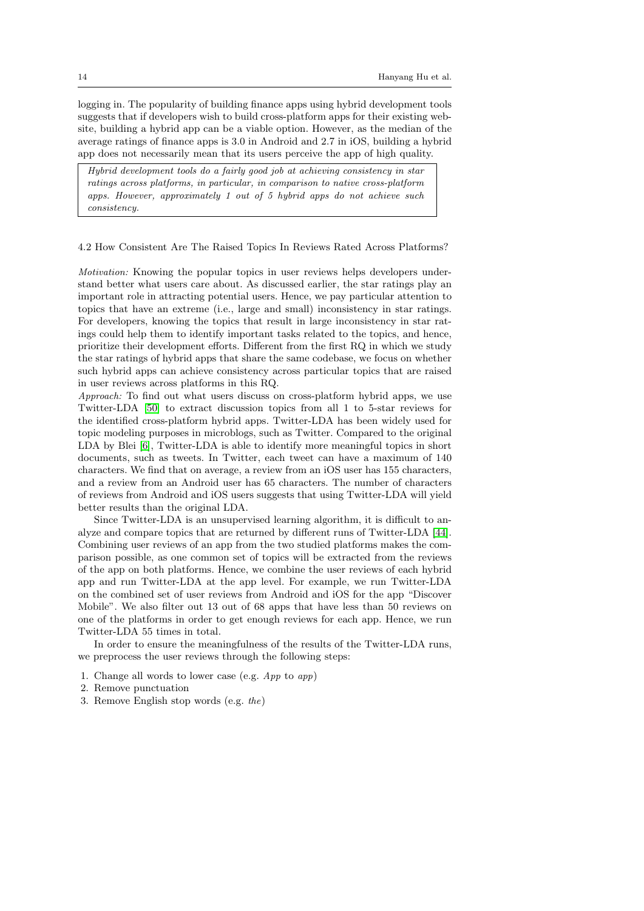logging in. The popularity of building finance apps using hybrid development tools suggests that if developers wish to build cross-platform apps for their existing website, building a hybrid app can be a viable option. However, as the median of the average ratings of finance apps is 3.0 in Android and 2.7 in iOS, building a hybrid app does not necessarily mean that its users perceive the app of high quality.

Hybrid development tools do a fairly good job at achieving consistency in star ratings across platforms, in particular, in comparison to native cross-platform apps. However, approximately 1 out of 5 hybrid apps do not achieve such consistency.

<span id="page-13-0"></span>4.2 How Consistent Are The Raised Topics In Reviews Rated Across Platforms?

Motivation: Knowing the popular topics in user reviews helps developers understand better what users care about. As discussed earlier, the star ratings play an important role in attracting potential users. Hence, we pay particular attention to topics that have an extreme (i.e., large and small) inconsistency in star ratings. For developers, knowing the topics that result in large inconsistency in star ratings could help them to identify important tasks related to the topics, and hence, prioritize their development efforts. Different from the first RQ in which we study the star ratings of hybrid apps that share the same codebase, we focus on whether such hybrid apps can achieve consistency across particular topics that are raised in user reviews across platforms in this RQ.

Approach: To find out what users discuss on cross-platform hybrid apps, we use Twitter-LDA [\[50\]](#page-22-13) to extract discussion topics from all 1 to 5-star reviews for the identified cross-platform hybrid apps. Twitter-LDA has been widely used for topic modeling purposes in microblogs, such as Twitter. Compared to the original LDA by Blei [\[6\]](#page-20-10), Twitter-LDA is able to identify more meaningful topics in short documents, such as tweets. In Twitter, each tweet can have a maximum of 140 characters. We find that on average, a review from an iOS user has 155 characters, and a review from an Android user has 65 characters. The number of characters of reviews from Android and iOS users suggests that using Twitter-LDA will yield better results than the original LDA.

Since Twitter-LDA is an unsupervised learning algorithm, it is difficult to analyze and compare topics that are returned by different runs of Twitter-LDA [\[44\]](#page-22-14). Combining user reviews of an app from the two studied platforms makes the comparison possible, as one common set of topics will be extracted from the reviews of the app on both platforms. Hence, we combine the user reviews of each hybrid app and run Twitter-LDA at the app level. For example, we run Twitter-LDA on the combined set of user reviews from Android and iOS for the app "Discover Mobile". We also filter out 13 out of 68 apps that have less than 50 reviews on one of the platforms in order to get enough reviews for each app. Hence, we run Twitter-LDA 55 times in total.

In order to ensure the meaningfulness of the results of the Twitter-LDA runs, we preprocess the user reviews through the following steps:

- 1. Change all words to lower case (e.g.  $App$  to  $app$ )
- 2. Remove punctuation
- 3. Remove English stop words (e.g. the)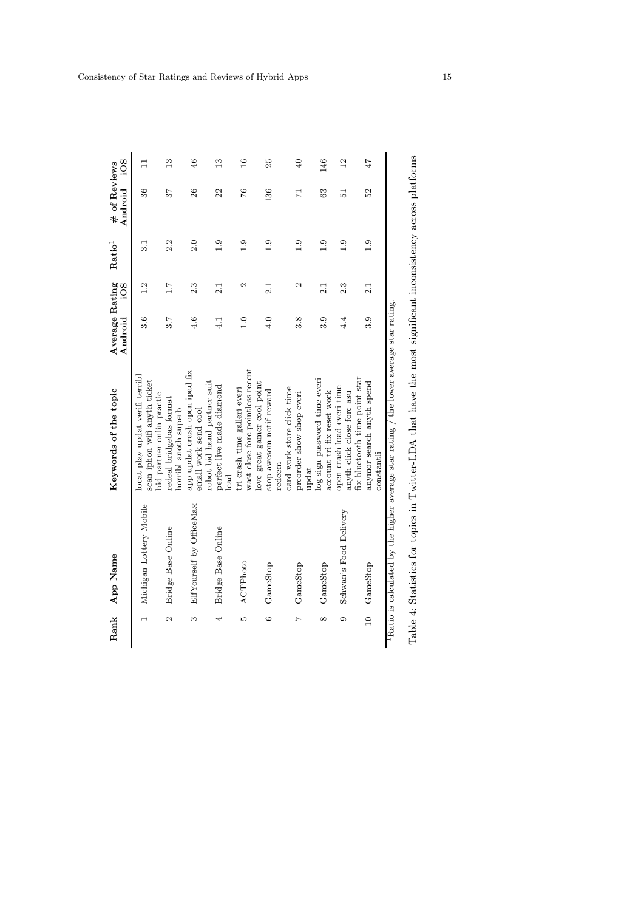| Rank               | App Name                 | Keywords of the topic                                                                                 | Average Rating<br>Android | iOS                    | Ratio <sup>1</sup> | # of Reviews<br>Android | iOS             |
|--------------------|--------------------------|-------------------------------------------------------------------------------------------------------|---------------------------|------------------------|--------------------|-------------------------|-----------------|
|                    | Michigan Lottery Mobile  | locat play updat verifi terribl<br>scan iphon wifi anyth ticket                                       | 3.6                       | $\frac{2}{1}$          | $\frac{1}{3}$      | 36                      | $\exists$       |
| $\mathbf{\hat{c}}$ | Bridge Base Online       | bid partner onlin practic<br>redeal bridgebas format<br>horribl anoth superb                          | 3.7                       | $\frac{7}{1}$          | 2.2                | 77                      | $\frac{3}{1}$   |
| S                  | ElfYourself by OfficeMax | app updat crash open ipad fix<br>email work send cool                                                 | 4.6                       | 2.3                    | 2.0                | 26                      | 46              |
| 4                  | Bridge Base Online       | robot bid hand partner suit<br>perfect live made diamond<br>lead                                      | $\frac{1}{4}$             | $\overline{2.1}$       | $\ddot{0}$         | 22                      | $\frac{3}{1}$   |
| LO.                | <b>ACTPhoto</b>          | wast close forc pointless recent<br>tri crash time galleri everi                                      | $\frac{0}{1}$             | $\mathbf{\mathcal{L}}$ | $\ddot{0}$         | 87                      | $\frac{6}{1}$   |
| 6                  | GameStop                 | love great gamer cool point<br>stop awesom notif reward<br>redeem                                     | 4.0                       | $\overline{2.1}$       | $\ddot{0}$         | 136                     | 25              |
| $\overline{z}$     | GameStop                 | card work store click time<br>preorder show shop everi<br>updat                                       | 3.8                       | 2                      | $\ddot{0}$         | 17                      | $\overline{40}$ |
| $\infty$           | GameStop                 | log sign password time everi<br>account tri fix reset work                                            | 3.9                       | 2.1                    | $\ddot{0}$         | 63                      | 146             |
| Ó                  | Schwan's Food Delivery   | open crash load everi time<br>anyth click close forc asu                                              | 4.4                       | 2.3                    | $\ddot{0}$         | ದ                       | $\frac{2}{1}$   |
| $\supseteq$        | GameStop                 | fix bluetooth time point star<br>anymor search anyth spend<br>constantli                              | 3.9                       | $\frac{1}{2}$          | $\frac{0}{1}$      | 52                      | 47              |
|                    |                          | <sup>1</sup> Ratio is calculated by the higher average star rating $/$ the lower average star rating. |                           |                        |                    |                         |                 |

Table 4: Statistics for topics in Twitter-LDA that have the most significant inconsistency across platforms

Table 4: Statistics for topics in Twitter-LDA that have the most significant inconsistency across platforms

<span id="page-14-0"></span>Consistency of Star Ratings and Reviews of Hybrid Apps 15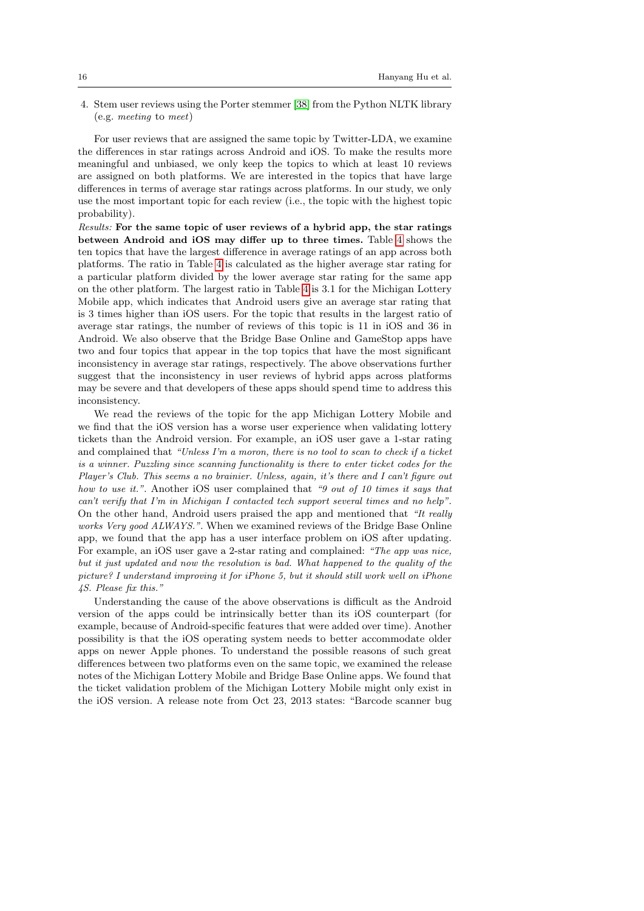4. Stem user reviews using the Porter stemmer [\[38\]](#page-22-15) from the Python NLTK library (e.g. meeting to meet)

For user reviews that are assigned the same topic by Twitter-LDA, we examine the differences in star ratings across Android and iOS. To make the results more meaningful and unbiased, we only keep the topics to which at least 10 reviews are assigned on both platforms. We are interested in the topics that have large differences in terms of average star ratings across platforms. In our study, we only use the most important topic for each review (i.e., the topic with the highest topic probability).

Results: For the same topic of user reviews of a hybrid app, the star ratings between Android and iOS may differ up to three times. Table [4](#page-14-0) shows the ten topics that have the largest difference in average ratings of an app across both platforms. The ratio in Table [4](#page-14-0) is calculated as the higher average star rating for a particular platform divided by the lower average star rating for the same app on the other platform. The largest ratio in Table [4](#page-14-0) is 3.1 for the Michigan Lottery Mobile app, which indicates that Android users give an average star rating that is 3 times higher than iOS users. For the topic that results in the largest ratio of average star ratings, the number of reviews of this topic is 11 in iOS and 36 in Android. We also observe that the Bridge Base Online and GameStop apps have two and four topics that appear in the top topics that have the most significant inconsistency in average star ratings, respectively. The above observations further suggest that the inconsistency in user reviews of hybrid apps across platforms may be severe and that developers of these apps should spend time to address this inconsistency.

We read the reviews of the topic for the app Michigan Lottery Mobile and we find that the iOS version has a worse user experience when validating lottery tickets than the Android version. For example, an iOS user gave a 1-star rating and complained that "Unless I'm a moron, there is no tool to scan to check if a ticket is a winner. Puzzling since scanning functionality is there to enter ticket codes for the Player's Club. This seems a no brainier. Unless, again, it's there and I can't figure out how to use it.". Another iOS user complained that "9 out of 10 times it says that can't verify that I'm in Michigan I contacted tech support several times and no help". On the other hand, Android users praised the app and mentioned that "It really works Very good ALWAYS.". When we examined reviews of the Bridge Base Online app, we found that the app has a user interface problem on iOS after updating. For example, an iOS user gave a 2-star rating and complained: "The app was nice, but it just updated and now the resolution is bad. What happened to the quality of the picture? I understand improving it for iPhone 5, but it should still work well on iPhone 4S. Please fix this."

Understanding the cause of the above observations is difficult as the Android version of the apps could be intrinsically better than its iOS counterpart (for example, because of Android-specific features that were added over time). Another possibility is that the iOS operating system needs to better accommodate older apps on newer Apple phones. To understand the possible reasons of such great differences between two platforms even on the same topic, we examined the release notes of the Michigan Lottery Mobile and Bridge Base Online apps. We found that the ticket validation problem of the Michigan Lottery Mobile might only exist in the iOS version. A release note from Oct 23, 2013 states: "Barcode scanner bug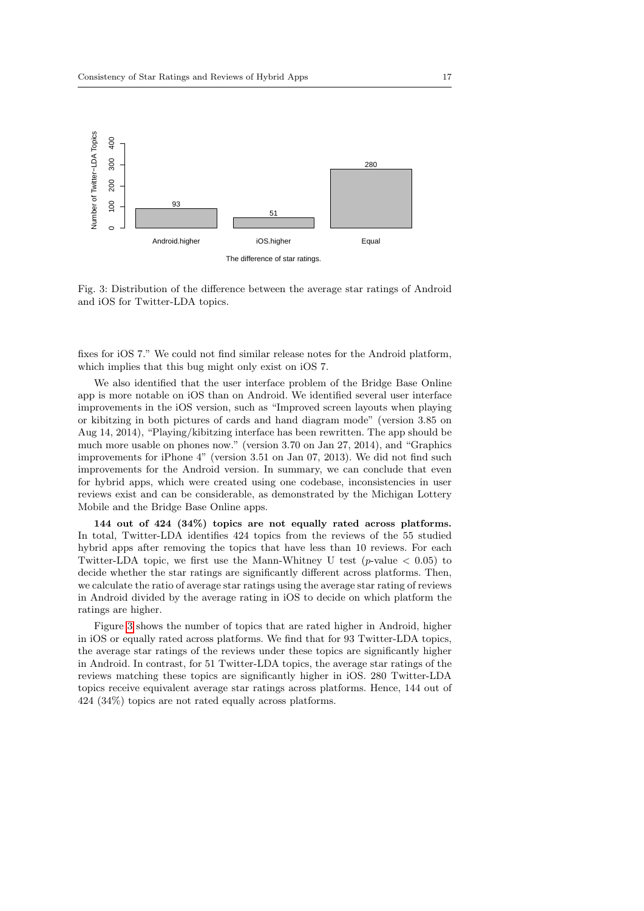<span id="page-16-0"></span>

Fig. 3: Distribution of the difference between the average star ratings of Android and iOS for Twitter-LDA topics.

fixes for iOS 7." We could not find similar release notes for the Android platform, which implies that this bug might only exist on iOS 7.

We also identified that the user interface problem of the Bridge Base Online app is more notable on iOS than on Android. We identified several user interface improvements in the iOS version, such as "Improved screen layouts when playing or kibitzing in both pictures of cards and hand diagram mode" (version 3.85 on Aug 14, 2014), "Playing/kibitzing interface has been rewritten. The app should be much more usable on phones now." (version 3.70 on Jan 27, 2014), and "Graphics improvements for iPhone 4" (version 3.51 on Jan 07, 2013). We did not find such improvements for the Android version. In summary, we can conclude that even for hybrid apps, which were created using one codebase, inconsistencies in user reviews exist and can be considerable, as demonstrated by the Michigan Lottery Mobile and the Bridge Base Online apps.

144 out of 424 (34%) topics are not equally rated across platforms. In total, Twitter-LDA identifies 424 topics from the reviews of the 55 studied hybrid apps after removing the topics that have less than 10 reviews. For each Twitter-LDA topic, we first use the Mann-Whitney U test (*p*-value  $\lt$  0.05) to decide whether the star ratings are significantly different across platforms. Then, we calculate the ratio of average star ratings using the average star rating of reviews in Android divided by the average rating in iOS to decide on which platform the ratings are higher.

Figure [3](#page-16-0) shows the number of topics that are rated higher in Android, higher in iOS or equally rated across platforms. We find that for 93 Twitter-LDA topics, the average star ratings of the reviews under these topics are significantly higher in Android. In contrast, for 51 Twitter-LDA topics, the average star ratings of the reviews matching these topics are significantly higher in iOS. 280 Twitter-LDA topics receive equivalent average star ratings across platforms. Hence, 144 out of 424 (34%) topics are not rated equally across platforms.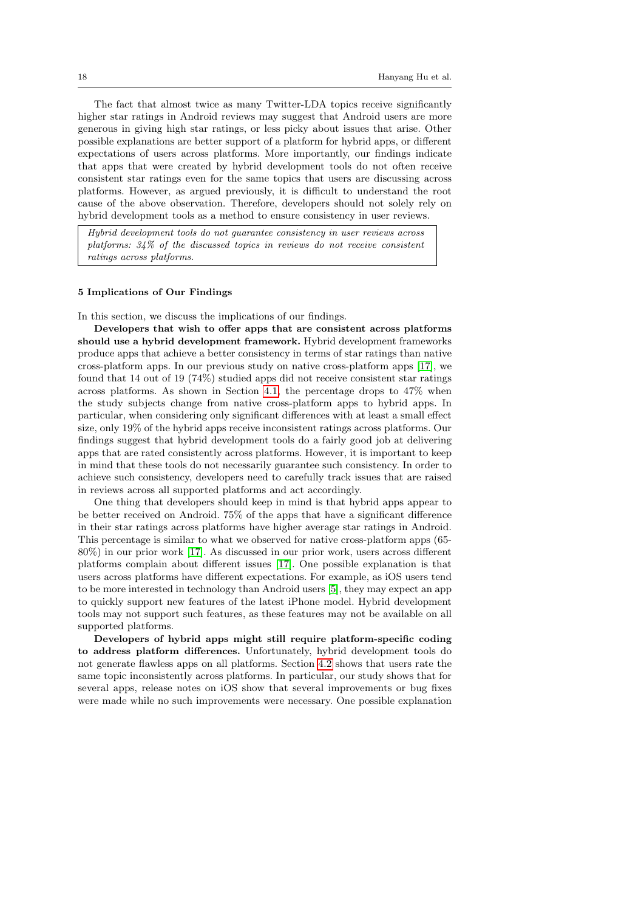The fact that almost twice as many Twitter-LDA topics receive significantly higher star ratings in Android reviews may suggest that Android users are more generous in giving high star ratings, or less picky about issues that arise. Other possible explanations are better support of a platform for hybrid apps, or different expectations of users across platforms. More importantly, our findings indicate that apps that were created by hybrid development tools do not often receive consistent star ratings even for the same topics that users are discussing across platforms. However, as argued previously, it is difficult to understand the root cause of the above observation. Therefore, developers should not solely rely on hybrid development tools as a method to ensure consistency in user reviews.

Hybrid development tools do not guarantee consistency in user reviews across platforms: 34% of the discussed topics in reviews do not receive consistent ratings across platforms.

# <span id="page-17-0"></span>5 Implications of Our Findings

In this section, we discuss the implications of our findings.

Developers that wish to offer apps that are consistent across platforms should use a hybrid development framework. Hybrid development frameworks produce apps that achieve a better consistency in terms of star ratings than native cross-platform apps. In our previous study on native cross-platform apps [\[17\]](#page-21-2), we found that 14 out of 19 (74%) studied apps did not receive consistent star ratings across platforms. As shown in Section [4.1,](#page-6-1) the percentage drops to 47% when the study subjects change from native cross-platform apps to hybrid apps. In particular, when considering only significant differences with at least a small effect size, only 19% of the hybrid apps receive inconsistent ratings across platforms. Our findings suggest that hybrid development tools do a fairly good job at delivering apps that are rated consistently across platforms. However, it is important to keep in mind that these tools do not necessarily guarantee such consistency. In order to achieve such consistency, developers need to carefully track issues that are raised in reviews across all supported platforms and act accordingly.

One thing that developers should keep in mind is that hybrid apps appear to be better received on Android. 75% of the apps that have a significant difference in their star ratings across platforms have higher average star ratings in Android. This percentage is similar to what we observed for native cross-platform apps (65- 80%) in our prior work [\[17\]](#page-21-2). As discussed in our prior work, users across different platforms complain about different issues [\[17\]](#page-21-2). One possible explanation is that users across platforms have different expectations. For example, as iOS users tend to be more interested in technology than Android users [\[5\]](#page-20-11), they may expect an app to quickly support new features of the latest iPhone model. Hybrid development tools may not support such features, as these features may not be available on all supported platforms.

Developers of hybrid apps might still require platform-specific coding to address platform differences. Unfortunately, hybrid development tools do not generate flawless apps on all platforms. Section [4.2](#page-13-0) shows that users rate the same topic inconsistently across platforms. In particular, our study shows that for several apps, release notes on iOS show that several improvements or bug fixes were made while no such improvements were necessary. One possible explanation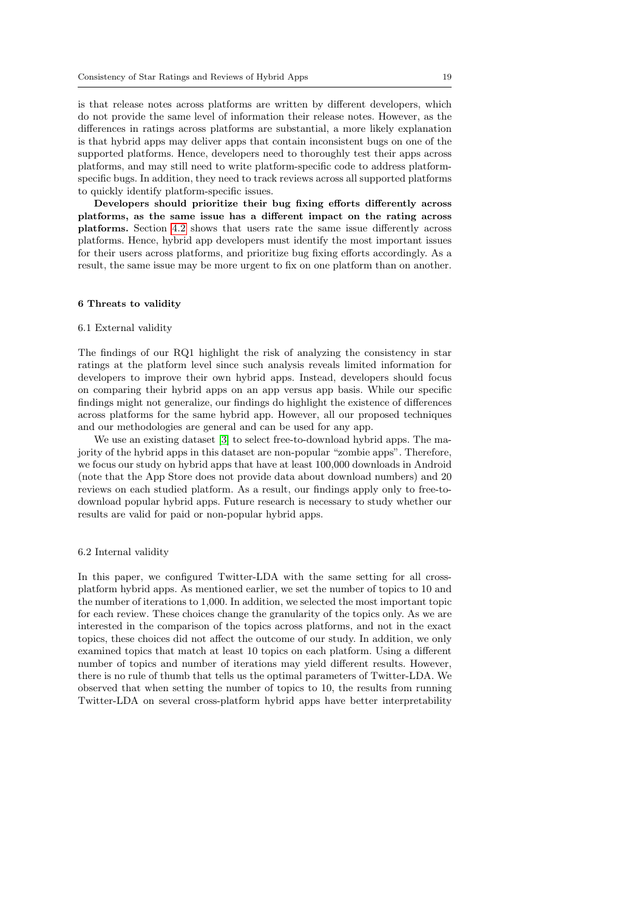is that release notes across platforms are written by different developers, which do not provide the same level of information their release notes. However, as the differences in ratings across platforms are substantial, a more likely explanation is that hybrid apps may deliver apps that contain inconsistent bugs on one of the supported platforms. Hence, developers need to thoroughly test their apps across platforms, and may still need to write platform-specific code to address platformspecific bugs. In addition, they need to track reviews across all supported platforms to quickly identify platform-specific issues.

Developers should prioritize their bug fixing efforts differently across platforms, as the same issue has a different impact on the rating across platforms. Section [4.2](#page-13-0) shows that users rate the same issue differently across platforms. Hence, hybrid app developers must identify the most important issues for their users across platforms, and prioritize bug fixing efforts accordingly. As a result, the same issue may be more urgent to fix on one platform than on another.

#### <span id="page-18-0"></span>6 Threats to validity

#### 6.1 External validity

The findings of our RQ1 highlight the risk of analyzing the consistency in star ratings at the platform level since such analysis reveals limited information for developers to improve their own hybrid apps. Instead, developers should focus on comparing their hybrid apps on an app versus app basis. While our specific findings might not generalize, our findings do highlight the existence of differences across platforms for the same hybrid app. However, all our proposed techniques and our methodologies are general and can be used for any app.

We use an existing dataset [\[3\]](#page-20-2) to select free-to-download hybrid apps. The majority of the hybrid apps in this dataset are non-popular "zombie apps". Therefore, we focus our study on hybrid apps that have at least 100,000 downloads in Android (note that the App Store does not provide data about download numbers) and 20 reviews on each studied platform. As a result, our findings apply only to free-todownload popular hybrid apps. Future research is necessary to study whether our results are valid for paid or non-popular hybrid apps.

# 6.2 Internal validity

In this paper, we configured Twitter-LDA with the same setting for all crossplatform hybrid apps. As mentioned earlier, we set the number of topics to 10 and the number of iterations to 1,000. In addition, we selected the most important topic for each review. These choices change the granularity of the topics only. As we are interested in the comparison of the topics across platforms, and not in the exact topics, these choices did not affect the outcome of our study. In addition, we only examined topics that match at least 10 topics on each platform. Using a different number of topics and number of iterations may yield different results. However, there is no rule of thumb that tells us the optimal parameters of Twitter-LDA. We observed that when setting the number of topics to 10, the results from running Twitter-LDA on several cross-platform hybrid apps have better interpretability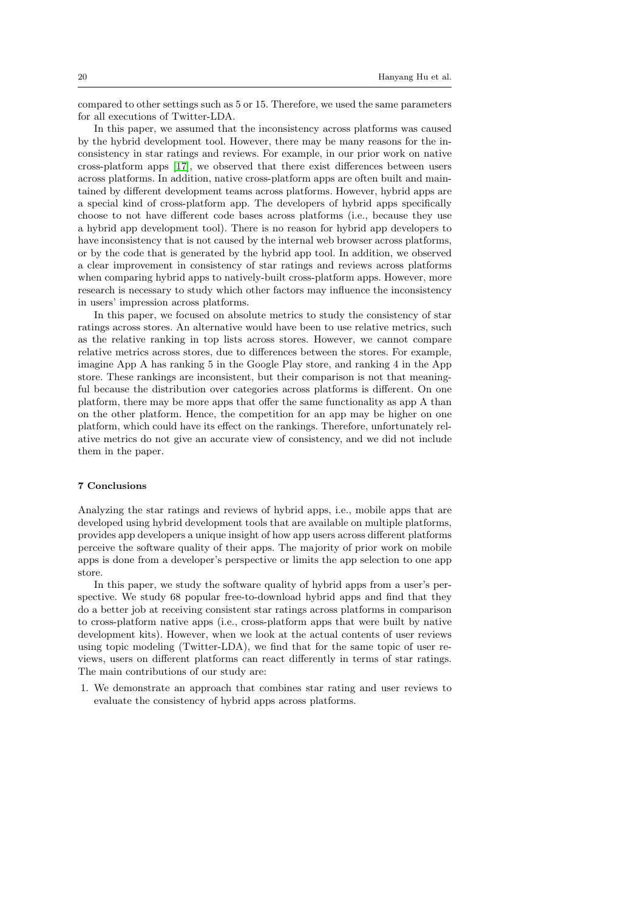compared to other settings such as 5 or 15. Therefore, we used the same parameters for all executions of Twitter-LDA.

In this paper, we assumed that the inconsistency across platforms was caused by the hybrid development tool. However, there may be many reasons for the inconsistency in star ratings and reviews. For example, in our prior work on native cross-platform apps [\[17\]](#page-21-2), we observed that there exist differences between users across platforms. In addition, native cross-platform apps are often built and maintained by different development teams across platforms. However, hybrid apps are a special kind of cross-platform app. The developers of hybrid apps specifically choose to not have different code bases across platforms (i.e., because they use a hybrid app development tool). There is no reason for hybrid app developers to have inconsistency that is not caused by the internal web browser across platforms, or by the code that is generated by the hybrid app tool. In addition, we observed a clear improvement in consistency of star ratings and reviews across platforms when comparing hybrid apps to natively-built cross-platform apps. However, more research is necessary to study which other factors may influence the inconsistency in users' impression across platforms.

In this paper, we focused on absolute metrics to study the consistency of star ratings across stores. An alternative would have been to use relative metrics, such as the relative ranking in top lists across stores. However, we cannot compare relative metrics across stores, due to differences between the stores. For example, imagine App A has ranking 5 in the Google Play store, and ranking 4 in the App store. These rankings are inconsistent, but their comparison is not that meaningful because the distribution over categories across platforms is different. On one platform, there may be more apps that offer the same functionality as app A than on the other platform. Hence, the competition for an app may be higher on one platform, which could have its effect on the rankings. Therefore, unfortunately relative metrics do not give an accurate view of consistency, and we did not include them in the paper.

#### <span id="page-19-0"></span>7 Conclusions

Analyzing the star ratings and reviews of hybrid apps, i.e., mobile apps that are developed using hybrid development tools that are available on multiple platforms, provides app developers a unique insight of how app users across different platforms perceive the software quality of their apps. The majority of prior work on mobile apps is done from a developer's perspective or limits the app selection to one app store.

In this paper, we study the software quality of hybrid apps from a user's perspective. We study 68 popular free-to-download hybrid apps and find that they do a better job at receiving consistent star ratings across platforms in comparison to cross-platform native apps (i.e., cross-platform apps that were built by native development kits). However, when we look at the actual contents of user reviews using topic modeling (Twitter-LDA), we find that for the same topic of user reviews, users on different platforms can react differently in terms of star ratings. The main contributions of our study are:

1. We demonstrate an approach that combines star rating and user reviews to evaluate the consistency of hybrid apps across platforms.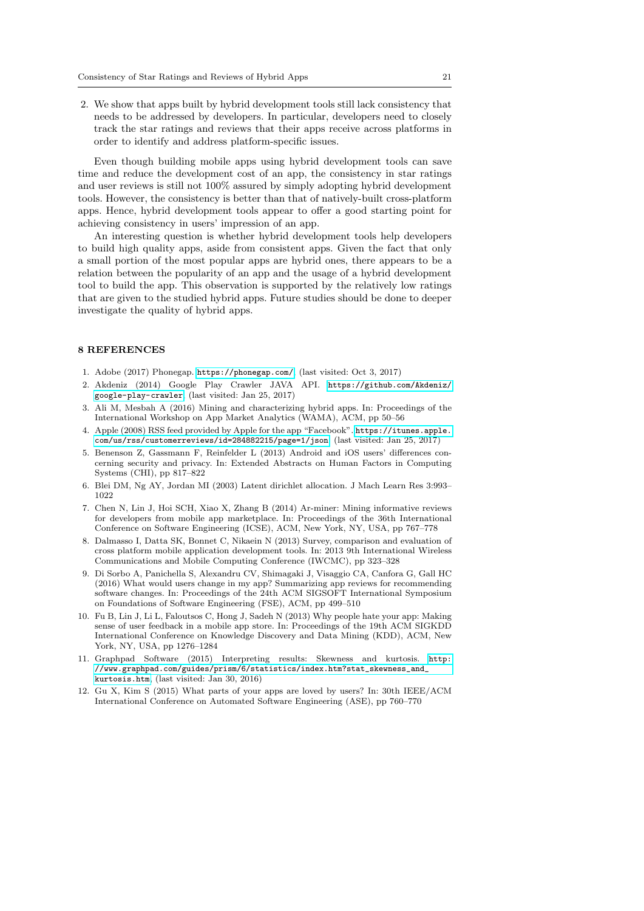2. We show that apps built by hybrid development tools still lack consistency that needs to be addressed by developers. In particular, developers need to closely track the star ratings and reviews that their apps receive across platforms in order to identify and address platform-specific issues.

Even though building mobile apps using hybrid development tools can save time and reduce the development cost of an app, the consistency in star ratings and user reviews is still not 100% assured by simply adopting hybrid development tools. However, the consistency is better than that of natively-built cross-platform apps. Hence, hybrid development tools appear to offer a good starting point for achieving consistency in users' impression of an app.

An interesting question is whether hybrid development tools help developers to build high quality apps, aside from consistent apps. Given the fact that only a small portion of the most popular apps are hybrid ones, there appears to be a relation between the popularity of an app and the usage of a hybrid development tool to build the app. This observation is supported by the relatively low ratings that are given to the studied hybrid apps. Future studies should be done to deeper investigate the quality of hybrid apps.

# 8 REFERENCES

- <span id="page-20-0"></span>1. Adobe (2017) Phonegap. <https://phonegap.com/>, (last visited: Oct 3, 2017)
- <span id="page-20-8"></span>2. Akdeniz (2014) Google Play Crawler JAVA API. [https://github.com/Akdeniz/](https://github.com/Akdeniz/google-play-crawler) [google-play-crawler](https://github.com/Akdeniz/google-play-crawler), (last visited: Jan 25, 2017)
- <span id="page-20-2"></span>3. Ali M, Mesbah A (2016) Mining and characterizing hybrid apps. In: Proceedings of the International Workshop on App Market Analytics (WAMA), ACM, pp 50–56
- <span id="page-20-7"></span>4. Apple (2008) RSS feed provided by Apple for the app "Facebook". [https://itunes.apple.](https://itunes.apple.com/us/rss/customerreviews/id=284882215/page=1/json) [com/us/rss/customerreviews/id=284882215/page=1/json](https://itunes.apple.com/us/rss/customerreviews/id=284882215/page=1/json), (last visited: Jan 25, 2017)
- <span id="page-20-11"></span>5. Benenson Z, Gassmann F, Reinfelder L (2013) Android and iOS users' differences concerning security and privacy. In: Extended Abstracts on Human Factors in Computing Systems (CHI), pp 817–822
- <span id="page-20-10"></span>6. Blei DM, Ng AY, Jordan MI (2003) Latent dirichlet allocation. J Mach Learn Res 3:993– 1022
- <span id="page-20-3"></span>7. Chen N, Lin J, Hoi SCH, Xiao X, Zhang B (2014) Ar-miner: Mining informative reviews for developers from mobile app marketplace. In: Proceedings of the 36th International Conference on Software Engineering (ICSE), ACM, New York, NY, USA, pp 767–778
- <span id="page-20-1"></span>8. Dalmasso I, Datta SK, Bonnet C, Nikaein N (2013) Survey, comparison and evaluation of cross platform mobile application development tools. In: 2013 9th International Wireless Communications and Mobile Computing Conference (IWCMC), pp 323–328
- <span id="page-20-6"></span>9. Di Sorbo A, Panichella S, Alexandru CV, Shimagaki J, Visaggio CA, Canfora G, Gall HC (2016) What would users change in my app? Summarizing app reviews for recommending software changes. In: Proceedings of the 24th ACM SIGSOFT International Symposium on Foundations of Software Engineering (FSE), ACM, pp 499–510
- <span id="page-20-4"></span>10. Fu B, Lin J, Li L, Faloutsos C, Hong J, Sadeh N (2013) Why people hate your app: Making sense of user feedback in a mobile app store. In: Proceedings of the 19th ACM SIGKDD International Conference on Knowledge Discovery and Data Mining (KDD), ACM, New York, NY, USA, pp 1276–1284
- <span id="page-20-9"></span>11. Graphpad Software (2015) Interpreting results: Skewness and kurtosis. [http:](http://www.graphpad.com/guides/prism/6/statistics/index.htm?stat_skewness_and_kurtosis.htm) [//www.graphpad.com/guides/prism/6/statistics/index.htm?stat\\_skewness\\_and\\_](http://www.graphpad.com/guides/prism/6/statistics/index.htm?stat_skewness_and_kurtosis.htm) [kurtosis.htm](http://www.graphpad.com/guides/prism/6/statistics/index.htm?stat_skewness_and_kurtosis.htm), (last visited: Jan 30, 2016)
- <span id="page-20-5"></span>12. Gu X, Kim S (2015) What parts of your apps are loved by users? In: 30th IEEE/ACM International Conference on Automated Software Engineering (ASE), pp 760–770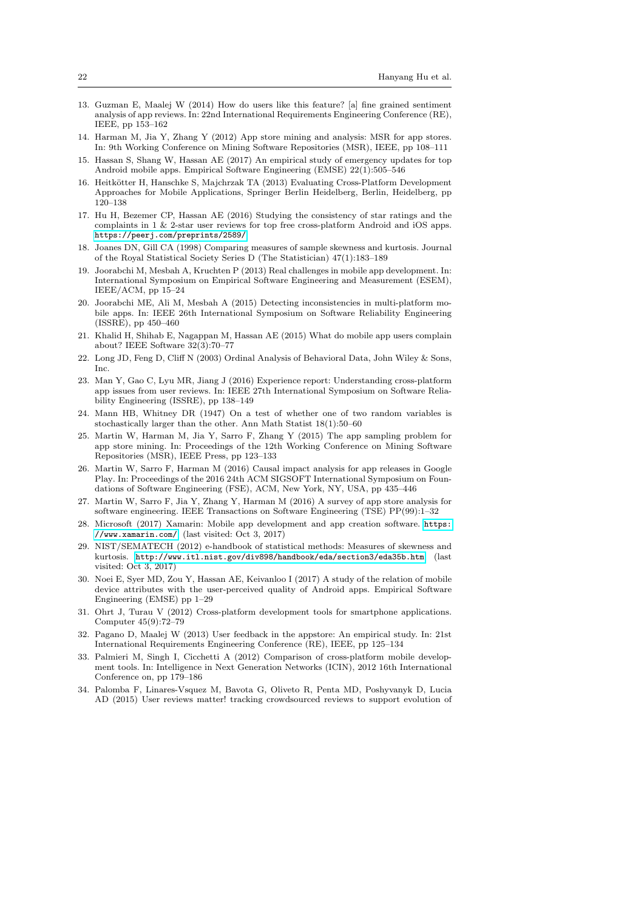- <span id="page-21-15"></span>13. Guzman E, Maalej W (2014) How do users like this feature? [a] fine grained sentiment analysis of app reviews. In: 22nd International Requirements Engineering Conference (RE), IEEE, pp 153–162
- <span id="page-21-12"></span>14. Harman M, Jia Y, Zhang Y (2012) App store mining and analysis: MSR for app stores. In: 9th Working Conference on Mining Software Repositories (MSR), IEEE, pp 108–111
- <span id="page-21-10"></span>15. Hassan S, Shang W, Hassan AE (2017) An empirical study of emergency updates for top Android mobile apps. Empirical Software Engineering (EMSE) 22(1):505–546
- <span id="page-21-4"></span>16. Heitkötter H, Hanschke S, Majchrzak TA (2013) Evaluating Cross-Platform Development Approaches for Mobile Applications, Springer Berlin Heidelberg, Berlin, Heidelberg, pp 120–138
- <span id="page-21-2"></span>17. Hu H, Bezemer CP, Hassan AE (2016) Studying the consistency of star ratings and the complaints in 1 & 2-star user reviews for top free cross-platform Android and iOS apps. <https://peerj.com/preprints/2589/>
- <span id="page-21-18"></span>18. Joanes DN, Gill CA (1998) Comparing measures of sample skewness and kurtosis. Journal of the Royal Statistical Society Series D (The Statistician) 47(1):183–189
- <span id="page-21-1"></span>19. Joorabchi M, Mesbah A, Kruchten P (2013) Real challenges in mobile app development. In: International Symposium on Empirical Software Engineering and Measurement (ESEM), IEEE/ACM, pp 15–24
- <span id="page-21-7"></span>20. Joorabchi ME, Ali M, Mesbah A (2015) Detecting inconsistencies in multi-platform mobile apps. In: IEEE 26th International Symposium on Software Reliability Engineering (ISSRE), pp 450–460
- <span id="page-21-11"></span>21. Khalid H, Shihab E, Nagappan M, Hassan AE (2015) What do mobile app users complain about? IEEE Software 32(3):70–77
- <span id="page-21-20"></span>22. Long JD, Feng D, Cliff N (2003) Ordinal Analysis of Behavioral Data, John Wiley & Sons, Inc.
- <span id="page-21-6"></span>23. Man Y, Gao C, Lyu MR, Jiang J (2016) Experience report: Understanding cross-platform app issues from user reviews. In: IEEE 27th International Symposium on Software Reliability Engineering (ISSRE), pp 138–149
- <span id="page-21-19"></span>24. Mann HB, Whitney DR (1947) On a test of whether one of two random variables is stochastically larger than the other. Ann Math Statist 18(1):50–60
- <span id="page-21-17"></span>25. Martin W, Harman M, Jia Y, Sarro F, Zhang Y (2015) The app sampling problem for app store mining. In: Proceedings of the 12th Working Conference on Mining Software Repositories (MSR), IEEE Press, pp 123–133
- <span id="page-21-13"></span>26. Martin W, Sarro F, Harman M (2016) Causal impact analysis for app releases in Google Play. In: Proceedings of the 2016 24th ACM SIGSOFT International Symposium on Foundations of Software Engineering (FSE), ACM, New York, NY, USA, pp 435–446
- <span id="page-21-8"></span>27. Martin W, Sarro F, Jia Y, Zhang Y, Harman M (2016) A survey of app store analysis for software engineering. IEEE Transactions on Software Engineering (TSE) PP(99):1–32
- <span id="page-21-0"></span>28. Microsoft (2017) Xamarin: Mobile app development and app creation software. [https:](https://www.xamarin.com/) [//www.xamarin.com/](https://www.xamarin.com/), (last visited: Oct 3, 2017)
- <span id="page-21-21"></span>29. NIST/SEMATECH (2012) e-handbook of statistical methods: Measures of skewness and kurtosis. <http://www.itl.nist.gov/div898/handbook/eda/section3/eda35b.htm>, (last visited: Oct 3, 2017)
- <span id="page-21-14"></span>30. Noei E, Syer MD, Zou Y, Hassan AE, Keivanloo I (2017) A study of the relation of mobile device attributes with the user-perceived quality of Android apps. Empirical Software Engineering (EMSE) pp 1–29
- <span id="page-21-3"></span>31. Ohrt J, Turau V (2012) Cross-platform development tools for smartphone applications. Computer 45(9):72–79
- <span id="page-21-9"></span>32. Pagano D, Maalej W (2013) User feedback in the appstore: An empirical study. In: 21st International Requirements Engineering Conference (RE), IEEE, pp 125–134
- <span id="page-21-5"></span>33. Palmieri M, Singh I, Cicchetti A (2012) Comparison of cross-platform mobile development tools. In: Intelligence in Next Generation Networks (ICIN), 2012 16th International Conference on, pp 179–186
- <span id="page-21-16"></span>34. Palomba F, Linares-Vsquez M, Bavota G, Oliveto R, Penta MD, Poshyvanyk D, Lucia AD (2015) User reviews matter! tracking crowdsourced reviews to support evolution of